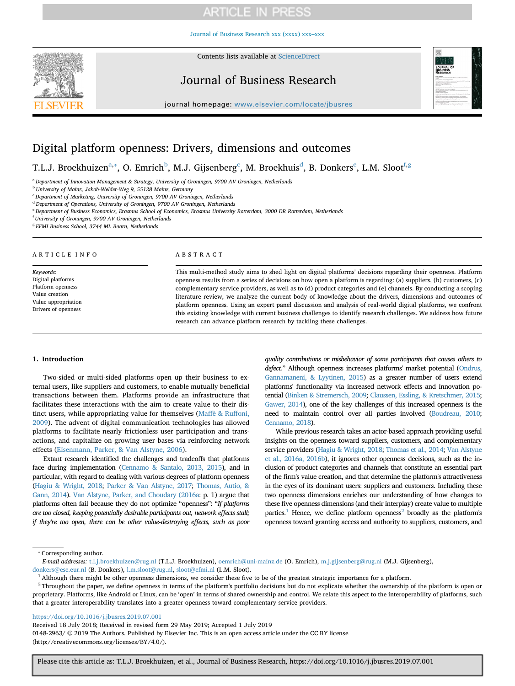[Journal of Business Research xxx \(xxxx\) xxx–xxx](https://doi.org/10.1016/j.jbusres.2019.07.001)



Contents lists available at [ScienceDirect](http://www.sciencedirect.com/science/journal/01482963)

## Journal of Business Research



journal homepage: [www.elsevier.com/locate/jbusres](https://www.elsevier.com/locate/jbusres)

# Digital platform openness: Drivers, dimensions and outcomes

T.L.J. Bro[e](#page-0-5)khuizen $^{\mathrm{a},*}$  $^{\mathrm{a},*}$  $^{\mathrm{a},*}$ , O. Emri[c](#page-0-3)h $^{\mathrm{b}}$  $^{\mathrm{b}}$  $^{\mathrm{b}}$ , M.J. Gijsenber[g](#page-0-7) $^{\mathrm{c}}$ , M. Broekhuis $^{\mathrm{d}}$  $^{\mathrm{d}}$  $^{\mathrm{d}}$ , B. Donkers $^{\mathrm{e}}$ , L.M. Sloot $^{\mathrm{f},\mathrm{g}}$ 

<span id="page-0-0"></span><sup>a</sup> *Department of Innovation Management & Strategy, University of Groningen, 9700 AV Groningen, Netherlands*

<span id="page-0-2"></span><sup>b</sup> *University of Mainz, Jakob-Welder-Weg 9, 55128 Mainz, Germany*

<span id="page-0-3"></span><sup>c</sup> *Department of Marketing, University of Groningen, 9700 AV Groningen, Netherlands*

<span id="page-0-4"></span><sup>d</sup> *Department of Operations, University of Groningen, 9700 AV Groningen, Netherlands*

<span id="page-0-5"></span><sup>e</sup> *Department of Business Economics, Erasmus School of Economics, Erasmus University Rotterdam, 3000 DR Rotterdam, Netherlands*

<span id="page-0-6"></span>f *University of Groningen, 9700 AV Groningen, Netherlands*

<span id="page-0-7"></span><sup>g</sup> *EFMI Business School, 3744 ML Baarn, Netherlands*

#### ARTICLE INFO

*Keywords:* Digital platforms Platform openness Value creation Value appropriation Drivers of openness

#### ABSTRACT

This multi-method study aims to shed light on digital platforms' decisions regarding their openness. Platform openness results from a series of decisions on how open a platform is regarding: (a) suppliers, (b) customers, (c) complementary service providers, as well as to (d) product categories and (e) channels. By conducting a scoping literature review, we analyze the current body of knowledge about the drivers, dimensions and outcomes of platform openness. Using an expert panel discussion and analysis of real-world digital platforms, we confront this existing knowledge with current business challenges to identify research challenges. We address how future research can advance platform research by tackling these challenges.

#### **1. Introduction**

Two-sided or multi-sided platforms open up their business to external users, like suppliers and customers, to enable mutually beneficial transactions between them. Platforms provide an infrastructure that facilitates these interactions with the aim to create value to their distinct users, while appropriating value for themselves ([Maffè & Ruffoni,](#page-11-0) [2009\)](#page-11-0). The advent of digital communication technologies has allowed platforms to facilitate nearly frictionless user participation and transactions, and capitalize on growing user bases via reinforcing network effects ([Eisenmann, Parker, & Van Alstyne, 2006](#page-11-1)).

Extant research identified the challenges and tradeoffs that platforms face during implementation ([Cennamo & Santalo, 2013, 2015\)](#page-11-2), and in particular, with regard to dealing with various degrees of platform openness [\(Hagiu & Wright, 2018](#page-11-3); [Parker & Van Alstyne, 2017;](#page-12-0) [Thomas, Autio, &](#page-12-1) [Gann, 2014](#page-12-1)). [Van Alstyne, Parker, and Choudary \(2016a](#page-12-2): p. 1) argue that platforms often fail because they do not optimize "openness": "*If platforms are too closed, keeping potentially desirable participants out, network effects stall; if they're too open, there can be other value-destroying effects, such as poor*

*quality contributions or misbehavior of some participants that causes others to defect.*" Although openness increases platforms' market potential [\(Ondrus,](#page-12-3) [Gannamaneni, & Lyytinen, 2015](#page-12-3)) as a greater number of users extend platforms' functionality via increased network effects and innovation potential [\(Binken & Stremersch, 2009;](#page-11-4) [Claussen, Essling, & Kretschmer, 2015](#page-11-5); [Gawer, 2014](#page-11-6)), one of the key challenges of this increased openness is the need to maintain control over all parties involved [\(Boudreau, 2010](#page-11-7); [Cennamo, 2018\)](#page-11-8).

While previous research takes an actor-based approach providing useful insights on the openness toward suppliers, customers, and complementary service providers [\(Hagiu & Wright, 2018](#page-11-3); [Thomas et al., 2014;](#page-12-1) [Van Alstyne](#page-12-2) [et al., 2016a, 2016b\)](#page-12-2), it ignores other openness decisions, such as the inclusion of product categories and channels that constitute an essential part of the firm's value creation, and that determine the platform's attractiveness in the eyes of its dominant users: suppliers and customers. Including these two openness dimensions enriches our understanding of how changes to these five openness dimensions (and their interplay) create value to multiple parties.<sup>[1](#page-0-8)</sup> Hence, we define platform openness<sup>2</sup> broadly as the platform's openness toward granting access and authority to suppliers, customers, and

<span id="page-0-1"></span>⁎ Corresponding author.

<https://doi.org/10.1016/j.jbusres.2019.07.001>

Received 18 July 2018; Received in revised form 29 May 2019; Accepted 1 July 2019 0148-2963/ © 2019 The Authors. Published by Elsevier Inc. This is an open access article under the CC BY license (http://creativecommons.org/licenses/BY/4.0/).

Please cite this article as: T.L.J. Broekhuizen, et al., Journal of Business Research, https://doi.org/10.1016/j.jbusres.2019.07.001

*E-mail addresses:* [t.l.j.broekhuizen@rug.nl](mailto:t.l.j.broekhuizen@rug.nl) (T.L.J. Broekhuizen), [oemrich@uni-mainz.de](mailto:oemrich@uni-mainz.de) (O. Emrich), [m.j.gijsenberg@rug.nl](mailto:m.j.gijsenberg@rug.nl) (M.J. Gijsenberg),

[donkers@ese.eur.nl](mailto:donkers@ese.eur.nl) (B. Donkers), [l.m.sloot@rug.nl,](mailto:l.m.sloot@rug.nl) [sloot@efmi.nl](mailto:sloot@efmi.nl) (L.M. Sloot).

<span id="page-0-8"></span><sup>&</sup>lt;sup>1</sup> Although there might be other openness dimensions, we consider these five to be of the greatest strategic importance for a platform.

<span id="page-0-9"></span><sup>&</sup>lt;sup>2</sup> Throughout the paper, we define openness in terms of the platform's portfolio decisions but do not explicate whether the ownership of the platform is open or proprietary. Platforms, like Android or Linux, can be 'open' in terms of shared ownership and control. We relate this aspect to the interoperability of platforms, such that a greater interoperability translates into a greater openness toward complementary service providers.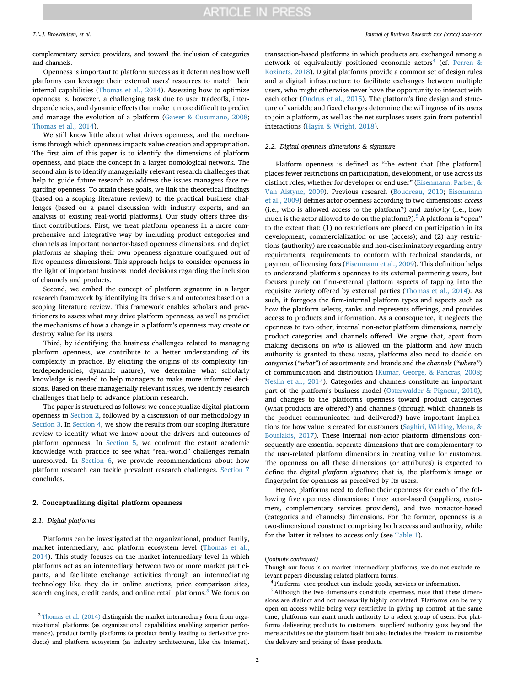complementary service providers, and toward the inclusion of categories and channels.

Openness is important to platform success as it determines how well platforms can leverage their external users' resources to match their internal capabilities [\(Thomas et al., 2014\)](#page-12-1). Assessing how to optimize openness is, however, a challenging task due to user tradeoffs, interdependencies, and dynamic effects that make it more difficult to predict and manage the evolution of a platform ([Gawer & Cusumano, 2008](#page-11-9); [Thomas et al., 2014\)](#page-12-1).

We still know little about what drives openness, and the mechanisms through which openness impacts value creation and appropriation. The first aim of this paper is to identify the dimensions of platform openness, and place the concept in a larger nomological network. The second aim is to identify managerially relevant research challenges that help to guide future research to address the issues managers face regarding openness. To attain these goals, we link the theoretical findings (based on a scoping literature review) to the practical business challenges (based on a panel discussion with industry experts, and an analysis of existing real-world platforms). Our study offers three distinct contributions. First, we treat platform openness in a more comprehensive and integrative way by including product categories and channels as important nonactor-based openness dimensions, and depict platforms as shaping their own openness signature configured out of five openness dimensions. This approach helps to consider openness in the light of important business model decisions regarding the inclusion of channels and products.

Second, we embed the concept of platform signature in a larger research framework by identifying its drivers and outcomes based on a scoping literature review. This framework enables scholars and practitioners to assess what may drive platform openness, as well as predict the mechanisms of how a change in a platform's openness may create or destroy value for its users.

Third, by identifying the business challenges related to managing platform openness, we contribute to a better understanding of its complexity in practice. By eliciting the origins of its complexity (interdependencies, dynamic nature), we determine what scholarly knowledge is needed to help managers to make more informed decisions. Based on these managerially relevant issues, we identify research challenges that help to advance platform research.

The paper is structured as follows: we conceptualize digital platform openness in [Section 2](#page-1-0), followed by a discussion of our methodology in [Section 3](#page-3-0). In [Section 4,](#page-5-0) we show the results from our scoping literature review to identify what we know about the drivers and outcomes of platform openness. In [Section 5,](#page-7-0) we confront the extant academic knowledge with practice to see what "real-world" challenges remain unresolved. In [Section 6](#page-9-0), we provide recommendations about how platform research can tackle prevalent research challenges. [Section 7](#page-10-0) concludes.

#### <span id="page-1-0"></span>**2. Conceptualizing digital platform openness**

#### *2.1. Digital platforms*

Platforms can be investigated at the organizational, product family, market intermediary, and platform ecosystem level ([Thomas et al.,](#page-12-1) [2014\)](#page-12-1). This study focuses on the market intermediary level in which platforms act as an intermediary between two or more market participants, and facilitate exchange activities through an intermediating technology like they do in online auctions, price comparison sites, search engines, credit cards, and online retail platforms.<sup>[3](#page-1-1)</sup> We focus on transaction-based platforms in which products are exchanged among a network of equivalently positioned economic actors<sup>4</sup> (cf. [Perren &](#page-12-4) [Kozinets, 2018\)](#page-12-4). Digital platforms provide a common set of design rules and a digital infrastructure to facilitate exchanges between multiple users, who might otherwise never have the opportunity to interact with each other ([Ondrus et al., 2015](#page-12-3)). The platform's fine design and structure of variable and fixed charges determine the willingness of its users to join a platform, as well as the net surpluses users gain from potential interactions ([Hagiu & Wright, 2018](#page-11-3)).

#### *2.2. Digital openness dimensions & signature*

Platform openness is defined as "the extent that [the platform] places fewer restrictions on participation, development, or use across its distinct roles, whether for developer or end user" [\(Eisenmann, Parker, &](#page-11-10) [Van Alstyne, 2009\)](#page-11-10). Previous research ([Boudreau, 2010;](#page-11-7) [Eisenmann](#page-11-10) [et al., 2009](#page-11-10)) defines actor openness according to two dimensions: *access* (i.e., who is allowed access to the platform?) and *authority* (i.e., how much is the actor allowed to do on the platform?).<sup>[5](#page-1-3)</sup> A platform is "open" to the extent that: (1) no restrictions are placed on participation in its development, commercialization or use (access); and (2) any restrictions (authority) are reasonable and non-discriminatory regarding entry requirements, requirements to conform with technical standards, or payment of licensing fees [\(Eisenmann et al., 2009](#page-11-10)). This definition helps to understand platform's openness to its external partnering users, but focuses purely on firm-external platform aspects of tapping into the requisite variety offered by external parties ([Thomas et al., 2014\)](#page-12-1). As such, it foregoes the firm-internal platform types and aspects such as how the platform selects, ranks and represents offerings, and provides access to products and information. As a consequence, it neglects the openness to two other, internal non-actor platform dimensions, namely product categories and channels offered. We argue that, apart from making decisions on *who* is allowed on the platform and *how* much authority is granted to these users, platforms also need to decide on *categories* (*"what"*) of assortments and brands and the *channels* (*"where"*) of communication and distribution ([Kumar, George, & Pancras, 2008](#page-11-11); [Neslin et al., 2014\)](#page-12-5). Categories and channels constitute an important part of the platform's business model [\(Osterwalder & Pigneur, 2010](#page-12-6)), and changes to the platform's openness toward product categories (what products are offered?) and channels (through which channels is the product communicated and delivered?) have important implications for how value is created for customers [\(Saghiri, Wilding, Mena, &](#page-12-7) [Bourlakis, 2017\)](#page-12-7). These internal non-actor platform dimensions consequently are essential separate dimensions that are complementary to the user-related platform dimensions in creating value for customers. The openness on all these dimensions (or attributes) is expected to define the digital *platform signature*; that is, the platform's image or fingerprint for openness as perceived by its users.

Hence, platforms need to define their openness for each of the following five openness dimensions: three actor-based (suppliers, customers, complementary services providers), and two nonactor-based (categories and channels) dimensions. For the former, openness is a two-dimensional construct comprising both access and authority, while for the latter it relates to access only (see [Table 1\)](#page-2-0).

<span id="page-1-1"></span><sup>&</sup>lt;sup>3</sup> [Thomas et al. \(2014\)](#page-12-1) distinguish the market intermediary form from organizational platforms (as organizational capabilities enabling superior performance), product family platforms (a product family leading to derivative products) and platform ecosystem (as industry architectures, like the Internet).

<sup>(</sup>*footnote continued)*

Though our focus is on market intermediary platforms, we do not exclude relevant papers discussing related platform forms.

<span id="page-1-2"></span><sup>&</sup>lt;sup>4</sup> Platforms' core product can include goods, services or information.

<span id="page-1-3"></span><sup>5</sup> Although the two dimensions constitute openness, note that these dimensions are distinct and not necessarily highly correlated. Platforms can be very open on access while being very restrictive in giving up control; at the same time, platforms can grant much authority to a select group of users. For platforms delivering products to customers, suppliers' authority goes beyond the mere activities *on* the platform itself but also includes the freedom to customize the delivery and pricing of these products.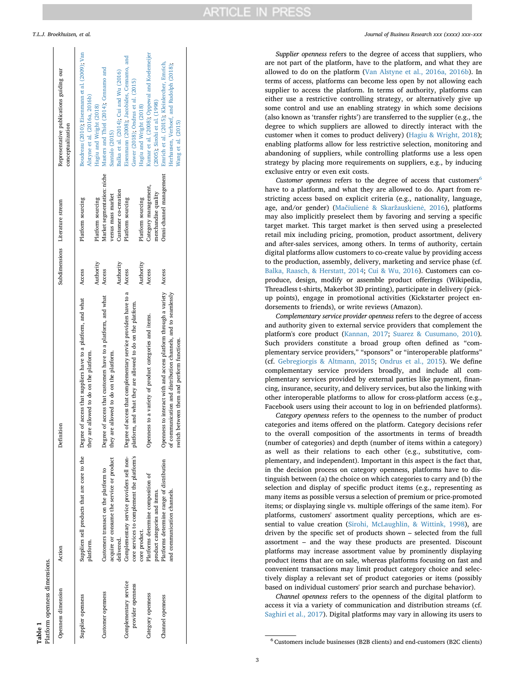<span id="page-2-0"></span>

| Platform openness dimensions.              |                                                                                                          |                                                                                                                                                                                   |                                  |                                                                                               |                                                                                                                              |
|--------------------------------------------|----------------------------------------------------------------------------------------------------------|-----------------------------------------------------------------------------------------------------------------------------------------------------------------------------------|----------------------------------|-----------------------------------------------------------------------------------------------|------------------------------------------------------------------------------------------------------------------------------|
| Openness dimension                         | Action                                                                                                   | Definition                                                                                                                                                                        | Subdimensions Literature stream  |                                                                                               | Representative publications guiding our<br>conceptualization                                                                 |
| Supplier openness                          | platform.                                                                                                | Suppliers sell products that are core to the Degree of access that suppliers have to a platform, and what<br>they are allowed to do on the platform.                              | Access                           | Platform sourcing                                                                             | Boudreau (2010); Eisenmann et al. (2009); Van<br>Alstyne et al. (2016a, 2016b)                                               |
| Customer openness                          | acquire or consume the service or product<br>Customers transact on the platform to<br>delivered.         | Degree of access that customers have to a platform, and what<br>they are allowed to do on the platform.                                                                           | Authority<br>Authority<br>Access | Market segmentation: niche<br>Customer co-creation<br>versus mass market<br>Platform sourcing | Masters and Thiel (2014); Cennamo and<br>Balka et al. (2014); Cui and Wu (2016)<br>Hagiu and Wright (2018)<br>Santalo (2015) |
| Complementary service<br>provider openness | Complementary service providers sell non-<br>core services to complement the platform's<br>core product. | Degree of access that complementary service providers have to a<br>platform, and what they are allowed to do on the platform.                                                     | Authority<br>Access              | Platform sourcing<br>Platform sourcing                                                        | Eisenmann (2008); Jacobides, Cennamo, and<br>Gawer (2018); Ondrus et al. (2015)<br>Hagiu and Wright (2018)                   |
| Category openness                          | Platforms determine composition of<br>product categories and items.                                      | Openness to a variety of product categories and items.                                                                                                                            | Access                           | Category management,<br>merchandise quality                                                   | Kumar et al. (2008); Oppewal and Koelemeijer<br>(2005); Sirohi et al. (1998)                                                 |
| Channel openness                           | Platforms determine range of distribution<br>and communication channels.                                 | Openness to interact with and access platform through a variety<br>of communication and distribution channels, and to seamlessly<br>between them and perform functions.<br>switch | Access                           | Omni-channel management                                                                       | Emrich et al. (2015); Kleinlercher, Emrich,<br>Herhausen, Verhoef, and Rudolph (2018);<br>Wang et al. (2015)                 |

**Table 1**

*T.L.J. Broekhuizen, et al. Journal of Business Research xxx (xxxx) xxx–xxx*

*Supplier openness* refers to the degree of access that suppliers, who are not part of the platform, have to the platform, and what they are allowed to do on the platform [\(Van Alstyne et al., 2016a, 2016b](#page-12-2)). In terms of access, platforms can become less open by not allowing each supplier to access the platform. In terms of authority, platforms can either use a restrictive controlling strategy, or alternatively give up some control and use an enabling strategy in which some decisions (also known as 'transfer rights') are transferred to the supplier (e.g., the degree to which suppliers are allowed to directly interact with the customer when it comes to product delivery) [\(Hagiu & Wright, 2018](#page-11-3)); enabling platforms allow for less restrictive selection, monitoring and abandoning of suppliers, while controlling platforms use a less open strategy by placing more requirements on suppliers, e.g., by inducing exclusive entry or even exit costs.

*Customer openness* refers to the degree of access that customers [6](#page-2-1) have to a platform, and what they are allowed to do. Apart from restricting access based on explicit criteria (e.g., nationality, language, age, and/or gender) ([Mačiulienė & Skaržauskienė, 2016\)](#page-11-12), platforms may also implicitly preselect them by favoring and serving a specific target market. This target market is then served using a preselected retail mix including pricing, promotion, product assortment, delivery and after-sales services, among others. In terms of authority, certain digital platforms allow customers to co-create value by providing access to the production, assembly, delivery, marketing and service phase (cf. [Balka, Raasch, & Herstatt, 2014](#page-11-13) ; [Cui & Wu, 2016](#page-11-14)). Customers can coproduce, design, modify or assemble product offerings (Wikipedia, Threadless t-shirts, Makerbot 3D printing), participate in delivery (pickup points), engage in promotional activities (Kickstarter project endorsements to friends), or write reviews (Amazon).

*Complementary service provider openness* refers to the degree of access and authority given to external service providers that complement the platform's core product [\(Kannan, 2017](#page-11-15) ; [Suarez & Cusumano, 2010](#page-12-8)). Such providers constitute a broad group often defined as "complementary service providers," "sponsors" or "interoperable platforms" (cf. [Gebregiorgis & Altmann, 2015](#page-11-16) ; [Ondrus et al., 2015\)](#page-12-3). We define complementary service providers broadly, and include all complementary services provided by external parties like payment, financing, insurance, security, and delivery services, but also the linking with other interoperable platforms to allow for cross-platform access (e.g., Facebook users using their account to log in on befriended platforms).

*Category openness* refers to the openness to the number of product categories and items offered on the platform. Category decisions refer to the overall composition of the assortments in terms of breadth (number of categories) and depth (number of items within a category) as well as their relations to each other (e.g., substitutive, complementary, and independent). Important in this aspect is the fact that, in the decision process on category openness, platforms have to distinguish between (a) the choice on which categories to carry and (b) the selection and display of specific product items (e.g., representing as many items as possible versus a selection of premium or price-promoted items; or displaying single vs. multiple offerings of the same item). For platforms, customers' assortment quality perceptions, which are essential to value creation ([Sirohi, McLaughlin, & Wittink, 1998\)](#page-12-9), are driven by the specific set of products shown – selected from the full assortment – and the way these products are presented. Discount platforms may increase assortment value by prominently displaying product items that are on sale, whereas platforms focusing on fast and convenient transactions may limit product category choice and selectively display a relevant set of product categories or items (possibly based on individual customers' prior search and purchase behavior).

*Channel openness* refers to the openness of the digital platform to access it via a variety of communication and distribution streams (cf. [Saghiri et al., 2017\)](#page-12-7). Digital platforms may vary in allowing its users to

<span id="page-2-1"></span><sup>6</sup> Customers include businesses (B2B clients) and end-customers (B2C clients)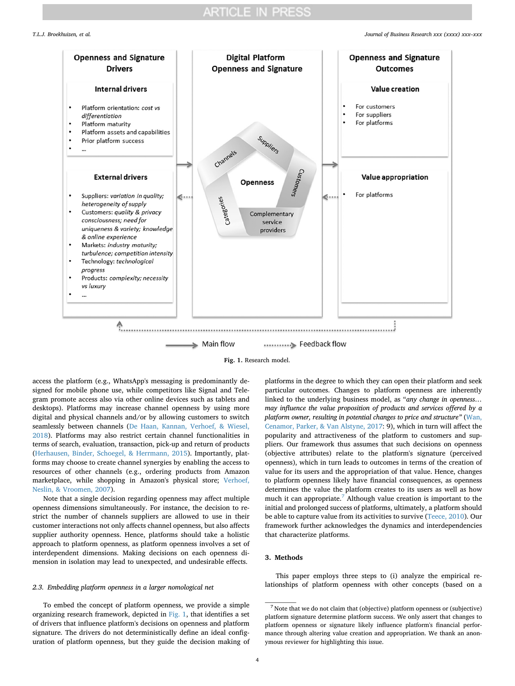#### <span id="page-3-1"></span>*T.L.J. Broekhuizen, et al. Journal of Business Research xxx (xxxx) xxx–xxx*



**Fig. 1.** Research model.

access the platform (e.g., WhatsApp's messaging is predominantly designed for mobile phone use, while competitors like Signal and Telegram promote access also via other online devices such as tablets and desktops). Platforms may increase channel openness by using more digital and physical channels and/or by allowing customers to switch seamlessly between channels ([De Haan, Kannan, Verhoef, & Wiesel,](#page-11-23) [2018\)](#page-11-23). Platforms may also restrict certain channel functionalities in terms of search, evaluation, transaction, pick-up and return of products ([Herhausen, Binder, Schoegel, & Herrmann, 2015\)](#page-11-24). Importantly, platforms may choose to create channel synergies by enabling the access to resources of other channels (e.g., ordering products from Amazon marketplace, while shopping in Amazon's physical store; [Verhoef,](#page-12-12) [Neslin, & Vroomen, 2007\)](#page-12-12).

Note that a single decision regarding openness may affect multiple openness dimensions simultaneously. For instance, the decision to restrict the number of channels suppliers are allowed to use in their customer interactions not only affects channel openness, but also affects supplier authority openness. Hence, platforms should take a holistic approach to platform openness, as platform openness involves a set of interdependent dimensions. Making decisions on each openness dimension in isolation may lead to unexpected, and undesirable effects.

#### *2.3. Embedding platform openness in a larger nomological net*

To embed the concept of platform openness, we provide a simple organizing research framework, depicted in [Fig. 1,](#page-3-1) that identifies a set of drivers that influence platform's decisions on openness and platform signature. The drivers do not deterministically define an ideal configuration of platform openness, but they guide the decision making of platforms in the degree to which they can open their platform and seek particular outcomes. Changes to platform openness are inherently linked to the underlying business model, as "*any change in openness… may influence the value proposition of products and services offered by a platform owner, resulting in potential changes to price and structure"* [\(Wan,](#page-12-13) [Cenamor, Parker, & Van Alstyne, 2017:](#page-12-13) 9), which in turn will affect the popularity and attractiveness of the platform to customers and suppliers. Our framework thus assumes that such decisions on openness (objective attributes) relate to the platform's signature (perceived openness), which in turn leads to outcomes in terms of the creation of value for its users and the appropriation of that value. Hence, changes to platform openness likely have financial consequences, as openness determines the value the platform creates to its users as well as how much it can appropriate.<sup>[7](#page-3-2)</sup> Although value creation is important to the initial and prolonged success of platforms, ultimately, a platform should be able to capture value from its activities to survive ([Teece, 2010\)](#page-12-14). Our framework further acknowledges the dynamics and interdependencies that characterize platforms.

### <span id="page-3-0"></span>**3. Methods**

This paper employs three steps to (i) analyze the empirical relationships of platform openness with other concepts (based on a

<span id="page-3-2"></span> $<sup>7</sup>$  Note that we do not claim that (objective) platform openness or (subjective)</sup> platform signature determine platform success. We only assert that changes to platform openness or signature likely influence platform's financial performance through altering value creation and appropriation. We thank an anonymous reviewer for highlighting this issue.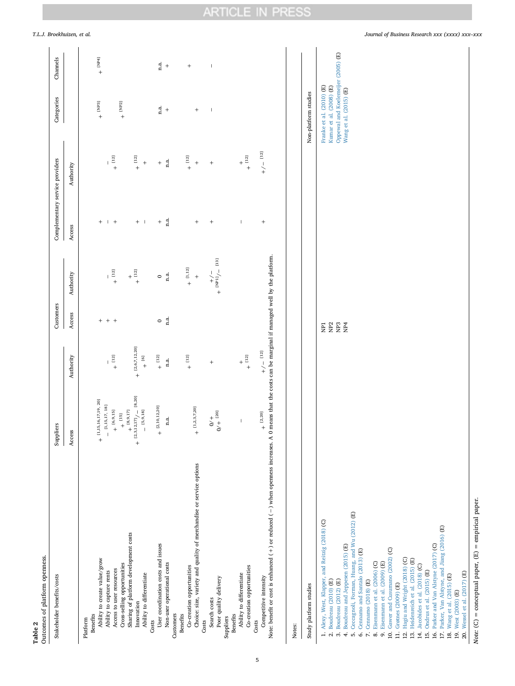|        | t  |
|--------|----|
| u<br>υ | ě, |
| Ξ<br>Ē |    |

| Stakeholder benefits/costs                                                                                                                                  | Suppliers                    |                                        | Customers       |                                                               |                                                                                                                                                                                                                                                                                                                                                                                  | Complementary service providers | Categories           | Channels             |
|-------------------------------------------------------------------------------------------------------------------------------------------------------------|------------------------------|----------------------------------------|-----------------|---------------------------------------------------------------|----------------------------------------------------------------------------------------------------------------------------------------------------------------------------------------------------------------------------------------------------------------------------------------------------------------------------------------------------------------------------------|---------------------------------|----------------------|----------------------|
|                                                                                                                                                             | Access                       | Authority                              | Access          | Authority                                                     | Access                                                                                                                                                                                                                                                                                                                                                                           | Authority                       |                      |                      |
| <b>Benefits</b><br>Platform                                                                                                                                 |                              |                                        |                 |                                                               |                                                                                                                                                                                                                                                                                                                                                                                  |                                 |                      |                      |
| Ability to create value/grow                                                                                                                                | [1,15,16,17,19,20]<br>$^{+}$ |                                        | $^{+}$          |                                                               | $\ddot{}$                                                                                                                                                                                                                                                                                                                                                                        |                                 | $+$ [NP3]            | $+$ [NP4] $\,$       |
| Ability to capture rents                                                                                                                                    | $[\,1,15,17,\,18]\,$         | Ĺ                                      | $\! + \!\!\!\!$ |                                                               | I                                                                                                                                                                                                                                                                                                                                                                                | Ĺ                               |                      |                      |
| Access to user resources                                                                                                                                    | $+$ [6,9,15]                 | $+$ [12]                               | $+$             | $+\frac{12}{12}$                                              | $\ddot{}$                                                                                                                                                                                                                                                                                                                                                                        | $+$ [12]                        |                      |                      |
| Cross-selling opportunities                                                                                                                                 | $+ 151$                      |                                        |                 |                                                               |                                                                                                                                                                                                                                                                                                                                                                                  |                                 | $+$ [NP2]            |                      |
| Sharing of platform development costs                                                                                                                       | $+$ [8,9,17]                 |                                        |                 | $\begin{array}{c} + \ \frac{1}{2} \\ + \end{array}$           |                                                                                                                                                                                                                                                                                                                                                                                  |                                 |                      |                      |
| Innovation                                                                                                                                                  | $+$ [2,3,12,17] $/$ [8,20]   | $+$ [2,6,7,12,20]                      |                 |                                                               | $^{+}$                                                                                                                                                                                                                                                                                                                                                                           | $+$ [12]                        |                      |                      |
| Ability to differentiate                                                                                                                                    | [5,9,18]                     | $rac{1}{2}$                            |                 |                                                               | $\begin{array}{c} \end{array}$                                                                                                                                                                                                                                                                                                                                                   | $\ddot{}$                       |                      |                      |
| Costs                                                                                                                                                       |                              |                                        |                 |                                                               |                                                                                                                                                                                                                                                                                                                                                                                  |                                 |                      |                      |
| User coordination costs and issues                                                                                                                          | $+$ [2,10,12,20]             | $\frac{1}{2}$                          | $\circ$         | $\circ$                                                       | $\ddot{}$                                                                                                                                                                                                                                                                                                                                                                        | $\ddot{}$                       | n.a.                 | n.a.                 |
| Non-user operational costs                                                                                                                                  | n.a.                         | n.a.                                   | n.a.            | n.a.                                                          | n.a.                                                                                                                                                                                                                                                                                                                                                                             | n.a.                            | $\ddot{\phantom{1}}$ | $\ddot{\phantom{1}}$ |
| Customers                                                                                                                                                   |                              |                                        |                 |                                                               |                                                                                                                                                                                                                                                                                                                                                                                  |                                 |                      |                      |
| Benefits                                                                                                                                                    |                              |                                        |                 |                                                               |                                                                                                                                                                                                                                                                                                                                                                                  |                                 |                      |                      |
| Co-creation opportunities                                                                                                                                   |                              | $+$ $\scriptstyle{[12]}$               |                 | $+\begin{array}{c} \textbf{11.121} \\ \textbf{+} \end{array}$ |                                                                                                                                                                                                                                                                                                                                                                                  | $+$ [12]                        |                      | $^{+}$               |
| Choice: size, variety and quality of merchandise or service options                                                                                         | $+$ [1,2,3,7,20]             |                                        |                 | $^{+}$                                                        | $^{+}$                                                                                                                                                                                                                                                                                                                                                                           | $^{+}$                          | $^{+}$               |                      |
| Costs                                                                                                                                                       |                              |                                        |                 |                                                               |                                                                                                                                                                                                                                                                                                                                                                                  |                                 |                      |                      |
| Search costs                                                                                                                                                | $rac{+}{\circ}$              | $^{+}$                                 |                 |                                                               | $^{+}$                                                                                                                                                                                                                                                                                                                                                                           | $^{+}$                          | I                    | I                    |
| Poor quality delivery                                                                                                                                       | $0/+$ [20]                   |                                        |                 | $+/-$ (137)<br>+ [197]                                        |                                                                                                                                                                                                                                                                                                                                                                                  |                                 |                      |                      |
| Suppliers                                                                                                                                                   |                              |                                        |                 |                                                               |                                                                                                                                                                                                                                                                                                                                                                                  |                                 |                      |                      |
| Benefits                                                                                                                                                    |                              |                                        |                 |                                                               |                                                                                                                                                                                                                                                                                                                                                                                  |                                 |                      |                      |
| Ability to differentiate                                                                                                                                    | $\overline{\phantom{a}}$     | $^{+}$                                 |                 |                                                               | $\begin{array}{c} \rule{0pt}{2.5ex} \rule{0pt}{2.5ex} \rule{0pt}{2.5ex} \rule{0pt}{2.5ex} \rule{0pt}{2.5ex} \rule{0pt}{2.5ex} \rule{0pt}{2.5ex} \rule{0pt}{2.5ex} \rule{0pt}{2.5ex} \rule{0pt}{2.5ex} \rule{0pt}{2.5ex} \rule{0pt}{2.5ex} \rule{0pt}{2.5ex} \rule{0pt}{2.5ex} \rule{0pt}{2.5ex} \rule{0pt}{2.5ex} \rule{0pt}{2.5ex} \rule{0pt}{2.5ex} \rule{0pt}{2.5ex} \rule{0$ | $^{+}$                          |                      |                      |
| Co-creation opportunities                                                                                                                                   |                              | $\begin{array}{c} 12 \\ + \end{array}$ |                 |                                                               |                                                                                                                                                                                                                                                                                                                                                                                  | $+ 12$                          |                      |                      |
| Costs                                                                                                                                                       |                              |                                        |                 |                                                               |                                                                                                                                                                                                                                                                                                                                                                                  |                                 |                      |                      |
| Competitive intensity                                                                                                                                       | $+$ [2,20]                   | $+/-$ [12]                             |                 |                                                               | $^{+}$                                                                                                                                                                                                                                                                                                                                                                           | $+/-$ [12]                      |                      |                      |
| Note: benefit or cost is enhanced $(+)$ or reduced $(-)$ when openness increases. A 0 means that the costs can be marginal if managed well by the platform. |                              |                                        |                 |                                                               |                                                                                                                                                                                                                                                                                                                                                                                  |                                 |                      |                      |
|                                                                                                                                                             |                              |                                        |                 |                                                               |                                                                                                                                                                                                                                                                                                                                                                                  |                                 |                      |                      |

| Notes:                                                   |                   |                                                               |
|----------------------------------------------------------|-------------------|---------------------------------------------------------------|
| Study platform studies                                   |                   | Non-platform studies                                          |
| 1. Alexy, West, Klapper, and Reitzig (2018) (C)          | $\Gamma$          | Franke et al. (2010) (E)                                      |
| 2. Boudreau (2010) (E)<br>3. Boudreau (2012) (E)         | NP2<br>NP3<br>NP4 | Oppewal and Koelemeijer (2005) (E)<br>Kumar et al. (2008) (E) |
| 4. Boudreau and Jeppesen (2015) (E)                      |                   | Wang et al. (2015) (E)                                        |
| 5. Ceccagnoli, Forman, Huang, and Wu (2012) (E)          |                   |                                                               |
| 6. Cemamo and Santalo (2013) (E)                         |                   |                                                               |
| 7. Cemamo (2018) (E)                                     |                   |                                                               |
| 8. Eisenmann et al. (2006) (C)                           |                   |                                                               |
| 9. Eisenmann et al. (2009) (E)                           |                   |                                                               |
| 10. Gawer and Cusumano (2002) (C)                        |                   |                                                               |
| 11. Grøtnes (2009) (E)                                   |                   |                                                               |
| 12. Hagiu and Wright (2018) (C)                          |                   |                                                               |
| 13. Heidenreich et al. (2015) (E)                        |                   |                                                               |
| 14. Jacobides et al. (2018) (C)                          |                   |                                                               |
| 15. Ondrus et al. (2015) (E)                             |                   |                                                               |
| 16. Parker and Van Alstyne (2017) (C)                    |                   |                                                               |
| 17. Parker, Van Alstyne, and Jiang (2016) (E)            |                   |                                                               |
| 18. Wang et al. (2015) (E)                               |                   |                                                               |
| 19. West (2003) (E)                                      |                   |                                                               |
| 20. Wessel et al. (2017) (E)                             |                   |                                                               |
| Note: $(C)$ = conceptual paper, $(E)$ = empirical paper. |                   |                                                               |
|                                                          |                   |                                                               |

<span id="page-4-0"></span>

5

 $Note: (C) = conceptual paper, (E) = empirical paper.$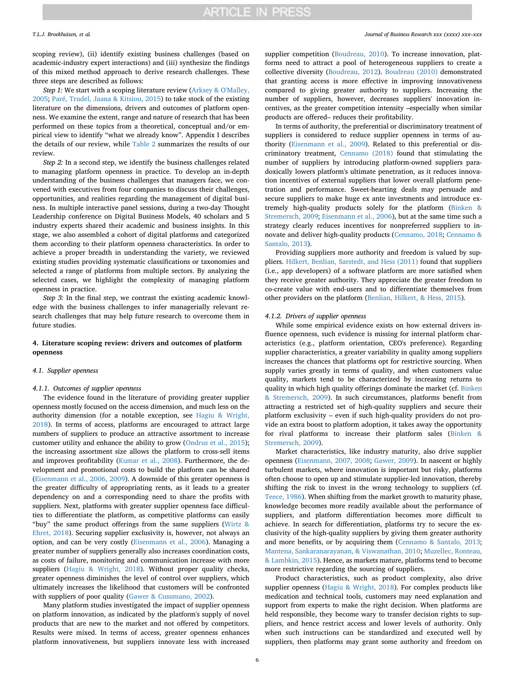scoping review), (ii) identify existing business challenges (based on academic-industry expert interactions) and (iii) synthesize the findings of this mixed method approach to derive research challenges. These three steps are described as follows:

*Step 1:* We start with a scoping literature review ([Arksey & O'Malley,](#page-11-32) [2005;](#page-11-32) [Paré, Trudel, Jaana & Kitsiou, 2015](#page-12-18)) to take stock of the existing literature on the dimensions, drivers and outcomes of platform openness. We examine the extent, range and nature of research that has been performed on these topics from a theoretical, conceptual and/or empirical view to identify "what we already know". Appendix I describes the details of our review, while [Table 2](#page-4-0) summarizes the results of our review.

*Step 2:* In a second step, we identify the business challenges related to managing platform openness in practice. To develop an in-depth understanding of the business challenges that managers face, we convened with executives from four companies to discuss their challenges, opportunities, and realities regarding the management of digital business. In multiple interactive panel sessions, during a two-day Thought Leadership conference on Digital Business Models, 40 scholars and 5 industry experts shared their academic and business insights. In this stage, we also assembled a cohort of digital platforms and categorized them according to their platform openness characteristics. In order to achieve a proper breadth in understanding the variety, we reviewed existing studies providing systematic classifications or taxonomies and selected a range of platforms from multiple sectors. By analyzing the selected cases, we highlight the complexity of managing platform openness in practice.

*Step 3:* In the final step, we contrast the existing academic knowledge with the business challenges to infer managerially relevant research challenges that may help future research to overcome them in future studies.

### <span id="page-5-0"></span>**4. Literature scoping review: drivers and outcomes of platform openness**

#### *4.1. Supplier openness*

#### *4.1.1. Outcomes of supplier openness*

The evidence found in the literature of providing greater supplier openness mostly focused on the access dimension, and much less on the authority dimension (for a notable exception, see [Hagiu & Wright,](#page-11-3) [2018\)](#page-11-3). In terms of access, platforms are encouraged to attract large numbers of suppliers to produce an attractive assortment to increase customer utility and enhance the ability to grow ([Ondrus et al., 2015](#page-12-3)); the increasing assortment size allows the platform to cross-sell items and improves profitability [\(Kumar et al., 2008\)](#page-11-11). Furthermore, the development and promotional costs to build the platform can be shared ([Eisenmann et al., 2006, 2009\)](#page-11-1). A downside of this greater openness is the greater difficulty of appropriating rents, as it leads to a greater dependency on and a corresponding need to share the profits with suppliers. Next, platforms with greater supplier openness face difficulties to differentiate the platform, as competitive platforms can easily "buy" the same product offerings from the same suppliers ([Wirtz &](#page-12-19) [Ehret, 2018\)](#page-12-19). Securing supplier exclusivity is, however, not always an option, and can be very costly [\(Eisenmann et al., 2006](#page-11-1)). Managing a greater number of suppliers generally also increases coordination costs, as costs of failure, monitoring and communication increase with more suppliers ([Hagiu & Wright, 2018](#page-11-3)). Without proper quality checks, greater openness diminishes the level of control over suppliers, which ultimately increases the likelihood that customers will be confronted with suppliers of poor quality [\(Gawer & Cusumano, 2002\)](#page-11-29).

Many platform studies investigated the impact of supplier openness on platform innovation, as indicated by the platform's supply of novel products that are new to the market and not offered by competitors. Results were mixed. In terms of access, greater openness enhances platform innovativeness, but suppliers innovate less with increased

#### *T.L.J. Broekhuizen, et al. Journal of Business Research xxx (xxxx) xxx–xxx*

supplier competition [\(Boudreau, 2010](#page-11-7)). To increase innovation, platforms need to attract a pool of heterogeneous suppliers to create a collective diversity [\(Boudreau, 2012](#page-11-26)). [Boudreau \(2010\)](#page-11-7) demonstrated that granting access is more effective in improving innovativeness compared to giving greater authority to suppliers. Increasing the number of suppliers, however, decreases suppliers' innovation incentives, as the greater competition intensity –especially when similar products are offered– reduces their profitability.

In terms of authority, the preferential or discriminatory treatment of suppliers is considered to reduce supplier openness in terms of authority [\(Eisenmann et al., 2009](#page-11-10)). Related to this preferential or discriminatory treatment, [Cennamo \(2018\)](#page-11-8) found that stimulating the number of suppliers by introducing platform-owned suppliers paradoxically lowers platform's ultimate penetration, as it reduces innovation incentives of external suppliers that lower overall platform penetration and performance. Sweet-hearting deals may persuade and secure suppliers to make huge ex ante investments and introduce extremely high-quality products solely for the platform ([Binken &](#page-11-4) [Stremersch, 2009](#page-11-4); [Eisenmann et al., 2006](#page-11-1)), but at the same time such a strategy clearly reduces incentives for nonpreferred suppliers to innovate and deliver high-quality products [\(Cennamo, 2018;](#page-11-8) [Cennamo &](#page-11-2) [Santalo, 2013\)](#page-11-2).

Providing suppliers more authority and freedom is valued by suppliers. [Hilkert, Benlian, Sarstedt, and Hess \(2011\)](#page-11-33) found that suppliers (i.e., app developers) of a software platform are more satisfied when they receive greater authority. They appreciate the greater freedom to co-create value with end-users and to differentiate themselves from other providers on the platform [\(Benlian, Hilkert, & Hess, 2015\)](#page-11-34).

#### *4.1.2. Drivers of supplier openness*

While some empirical evidence exists on how external drivers influence openness, such evidence is missing for internal platform characteristics (e.g., platform orientation, CEO's preference). Regarding supplier characteristics, a greater variability in quality among suppliers increases the chances that platforms opt for restrictive sourcing. When supply varies greatly in terms of quality, and when customers value quality, markets tend to be characterized by increasing returns to quality in which high quality offerings dominate the market (cf. [Binken](#page-11-4) [& Stremersch, 2009](#page-11-4)). In such circumstances, platforms benefit from attracting a restricted set of high-quality suppliers and secure their platform exclusivity – even if such high-quality providers do not provide an extra boost to platform adoption, it takes away the opportunity for rival platforms to increase their platform sales [\(Binken &](#page-11-4) [Stremersch, 2009\)](#page-11-4).

Market characteristics, like industry maturity, also drive supplier openness [\(Eisenmann, 2007, 2008](#page-11-35); [Gawer, 2009\)](#page-11-36). In nascent or highly turbulent markets, where innovation is important but risky, platforms often choose to open up and stimulate supplier-led innovation, thereby shifting the risk to invest in the wrong technology to suppliers (cf. [Teece, 1986](#page-12-20)). When shifting from the market growth to maturity phase, knowledge becomes more readily available about the performance of suppliers, and platform differentiation becomes more difficult to achieve. In search for differentiation, platforms try to secure the exclusivity of the high-quality suppliers by giving them greater authority and more benefits, or by acquiring them ([Cennamo & Santalo, 2013](#page-11-2); [Mantena, Sankaranarayanan, & Viswanathan, 2010](#page-11-37); [Muzellec, Ronteau,](#page-11-38) [& Lambkin, 2015\)](#page-11-38). Hence, as markets mature, platforms tend to become more restrictive regarding the sourcing of suppliers.

Product characteristics, such as product complexity, also drive supplier openness ([Hagiu & Wright, 2018\)](#page-11-3). For complex products like medication and technical tools, customers may need explanation and support from experts to make the right decision. When platforms are held responsible, they become wary to transfer decision rights to suppliers, and hence restrict access and lower levels of authority. Only when such instructions can be standardized and executed well by suppliers, then platforms may grant some authority and freedom on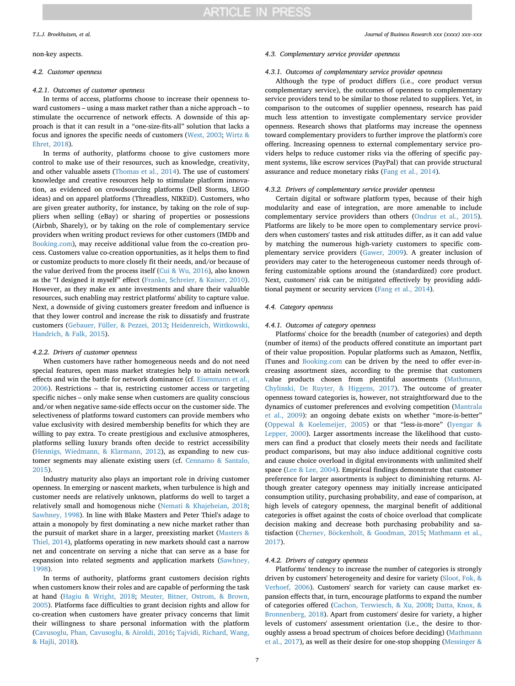non-key aspects.

#### *4.2. Customer openness*

#### *4.2.1. Outcomes of customer openness*

In terms of access, platforms choose to increase their openness toward customers – using a mass market rather than a niche approach – to stimulate the occurrence of network effects. A downside of this approach is that it can result in a "one-size-fits-all" solution that lacks a focus and ignores the specific needs of customers ([West, 2003;](#page-12-16) [Wirtz &](#page-12-19) [Ehret, 2018](#page-12-19)).

In terms of authority, platforms choose to give customers more control to make use of their resources, such as knowledge, creativity, and other valuable assets [\(Thomas et al., 2014](#page-12-1)). The use of customers' knowledge and creative resources help to stimulate platform innovation, as evidenced on crowdsourcing platforms (Dell Storms, LEGO ideas) and on apparel platforms (Threadless, NIKEiD). Customers, who are given greater authority, for instance, by taking on the role of suppliers when selling (eBay) or sharing of properties or possessions (Airbnb, Sharely), or by taking on the role of complementary service providers when writing product reviews for other customers (IMDb and [Booking.com\)](http://Booking.com), may receive additional value from the co-creation process. Customers value co-creation opportunities, as it helps them to find or customize products to more closely fit their needs, and/or because of the value derived from the process itself ([Cui & Wu, 2016](#page-11-14)), also known as the "I designed it myself" effect [\(Franke, Schreier, & Kaiser, 2010](#page-11-25)). However, as they make ex ante investments and share their valuable resources, such enabling may restrict platforms' ability to capture value. Next, a downside of giving customers greater freedom and influence is that they lower control and increase the risk to dissatisfy and frustrate customers ([Gebauer, Füller, & Pezzei, 2013](#page-11-39); [Heidenreich, Wittkowski,](#page-11-31) [Handrich, & Falk, 2015](#page-11-31)).

#### *4.2.2. Drivers of customer openness*

When customers have rather homogeneous needs and do not need special features, open mass market strategies help to attain network effects and win the battle for network dominance (cf. [Eisenmann et al.,](#page-11-1) [2006\)](#page-11-1). Restrictions – that is, restricting customer access or targeting specific niches – only make sense when customers are quality conscious and/or when negative same-side effects occur on the customer side. The selectiveness of platforms toward customers can provide members who value exclusivity with desired membership benefits for which they are willing to pay extra. To create prestigious and exclusive atmospheres, platforms selling luxury brands often decide to restrict accessibility ([Hennigs, Wiedmann, & Klarmann, 2012](#page-11-40)), as expanding to new customer segments may alienate existing users (cf. [Cennamo & Santalo,](#page-11-18) [2015\)](#page-11-18).

Industry maturity also plays an important role in driving customer openness. In emerging or nascent markets, when turbulence is high and customer needs are relatively unknown, platforms do well to target a relatively small and homogenous niche ([Nemati & Khajeheian, 2018](#page-11-41); [Sawhney, 1998](#page-12-21)). In line with Blake Masters and Peter Thiel's adage to attain a monopoly by first dominating a new niche market rather than the pursuit of market share in a larger, preexisting market [\(Masters &](#page-11-17) [Thiel, 2014](#page-11-17)), platforms operating in new markets should cast a narrow net and concentrate on serving a niche that can serve as a base for expansion into related segments and application markets ([Sawhney,](#page-12-21) [1998\)](#page-12-21).

In terms of authority, platforms grant customers decision rights when customers know their roles and are capable of performing the task at hand [\(Hagiu & Wright, 2018](#page-11-3); [Meuter, Bitner, Ostrom, & Brown,](#page-11-42) [2005\)](#page-11-42). Platforms face difficulties to grant decision rights and allow for co-creation when customers have greater privacy concerns that limit their willingness to share personal information with the platform ([Cavusoglu, Phan, Cavusoglu, & Airoldi, 2016](#page-11-43); [Tajvidi, Richard, Wang,](#page-12-22) [& Hajli, 2018\)](#page-12-22).

### *T.L.J. Broekhuizen, et al. Journal of Business Research xxx (xxxx) xxx–xxx*

#### *4.3. Complementary service provider openness*

#### *4.3.1. Outcomes of complementary service provider openness*

Although the type of product differs (i.e., core product versus complementary service), the outcomes of openness to complementary service providers tend to be similar to those related to suppliers. Yet, in comparison to the outcomes of supplier openness, research has paid much less attention to investigate complementary service provider openness. Research shows that platforms may increase the openness toward complementary providers to further improve the platform's core offering. Increasing openness to external complementary service providers helps to reduce customer risks via the offering of specific payment systems, like escrow services (PayPal) that can provide structural assurance and reduce monetary risks ([Fang et al., 2014](#page-11-44)).

#### *4.3.2. Drivers of complementary service provider openness*

Certain digital or software platform types, because of their high modularity and ease of integration, are more amenable to include complementary service providers than others ([Ondrus et al., 2015](#page-12-3)). Platforms are likely to be more open to complementary service providers when customers' tastes and risk attitudes differ, as it can add value by matching the numerous high-variety customers to specific complementary service providers ([Gawer, 2009\)](#page-11-36). A greater inclusion of providers may cater to the heterogeneous customer needs through offering customizable options around the (standardized) core product. Next, customers' risk can be mitigated effectively by providing additional payment or security services ([Fang et al., 2014](#page-11-44)).

#### *4.4. Category openness*

#### *4.4.1. Outcomes of category openness*

Platforms' choice for the breadth (number of categories) and depth (number of items) of the products offered constitute an important part of their value proposition. Popular platforms such as Amazon, Netflix, iTunes and [Booking.com](http://Booking.com) can be driven by the need to offer ever-increasing assortment sizes, according to the premise that customers value products chosen from plentiful assortments [\(Mathmann,](#page-11-45) [Chylinski, De Ruyter, & Higgens, 2017\)](#page-11-45). The outcome of greater openness toward categories is, however, not straightforward due to the dynamics of customer preferences and evolving competition ([Mantrala](#page-11-46) [et al., 2009\)](#page-11-46): an ongoing debate exists on whether "more-is-better" ([Oppewal & Koelemeijer, 2005\)](#page-12-10) or that "less-is-more" [\(Iyengar &](#page-11-47) [Lepper, 2000](#page-11-47)). Larger assortments increase the likelihood that customers can find a product that closely meets their needs and facilitate product comparisons, but may also induce additional cognitive costs and cause choice overload in digital environments with unlimited shelf space [\(Lee & Lee, 2004](#page-11-48)). Empirical findings demonstrate that customer preference for larger assortments is subject to diminishing returns. Although greater category openness may initially increase anticipated consumption utility, purchasing probability, and ease of comparison, at high levels of category openness, the marginal benefit of additional categories is offset against the costs of choice overload that complicate decision making and decrease both purchasing probability and satisfaction [\(Chernev, Böckenholt, & Goodman, 2015;](#page-11-49) [Mathmann et al.,](#page-11-45) [2017\)](#page-11-45).

#### *4.4.2. Drivers of category openness*

Platforms' tendency to increase the number of categories is strongly driven by customers' heterogeneity and desire for variety [\(Sloot, Fok, &](#page-12-23) [Verhoef, 2006](#page-12-23)). Customers' search for variety can cause market expansion effects that, in turn, encourage platforms to expand the number of categories offered ([Cachon, Terwiesch, & Xu, 2008](#page-11-50); [Datta, Knox, &](#page-11-51) [Bronnenberg, 2018\)](#page-11-51). Apart from customers' desire for variety, a higher levels of customers' assessment orientation (i.e., the desire to thoroughly assess a broad spectrum of choices before deciding) [\(Mathmann](#page-11-45) [et al., 2017\)](#page-11-45), as well as their desire for one-stop shopping [\(Messinger &](#page-11-52)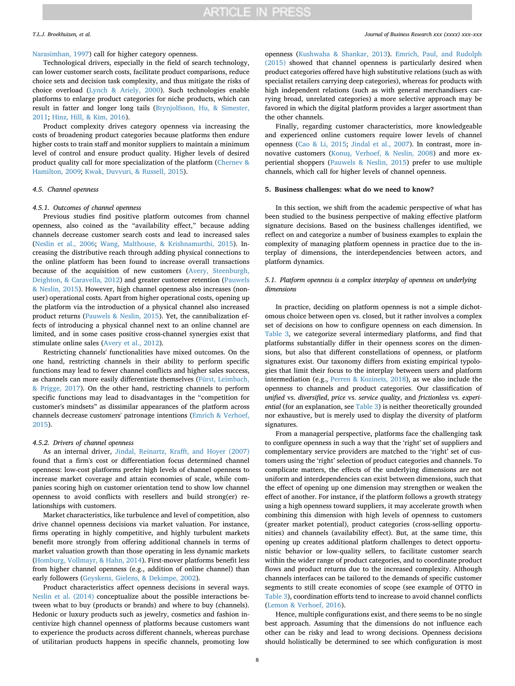[Narasimhan, 1997\)](#page-11-52) call for higher category openness.

Technological drivers, especially in the field of search technology, can lower customer search costs, facilitate product comparisons, reduce choice sets and decision task complexity, and thus mitigate the risks of choice overload [\(Lynch & Ariely, 2000](#page-11-53)). Such technologies enable platforms to enlarge product categories for niche products, which can result in fatter and longer long tails [\(Brynjolfsson, Hu, & Simester,](#page-11-54) [2011;](#page-11-54) [Hinz, Hill, & Kim, 2016](#page-11-55)).

Product complexity drives category openness via increasing the costs of broadening product categories because platforms then endure higher costs to train staff and monitor suppliers to maintain a minimum level of control and ensure product quality. Higher levels of desired product quality call for more specialization of the platform [\(Chernev &](#page-11-56) [Hamilton, 2009;](#page-11-56) [Kwak, Duvvuri, & Russell, 2015](#page-11-57)).

#### *4.5. Channel openness*

#### *4.5.1. Outcomes of channel openness*

Previous studies find positive platform outcomes from channel openness, also coined as the "availability effect," because adding channels decrease customer search costs and lead to increased sales ([Neslin et al., 2006;](#page-12-24) [Wang, Malthouse, & Krishnamurthi, 2015\)](#page-12-11). Increasing the distributive reach through adding physical connections to the online platform has been found to increase overall transactions because of the acquisition of new customers [\(Avery, Steenburgh,](#page-11-58) [Deighton, & Caravella, 2012\)](#page-11-58) and greater customer retention ([Pauwels](#page-12-25) [& Neslin, 2015\)](#page-12-25). However, high channel openness also increases (nonuser) operational costs. Apart from higher operational costs, opening up the platform via the introduction of a physical channel also increased product returns ([Pauwels & Neslin, 2015\)](#page-12-25). Yet, the cannibalization effects of introducing a physical channel next to an online channel are limited, and in some cases positive cross-channel synergies exist that stimulate online sales ([Avery et al., 2012](#page-11-58)).

Restricting channels' functionalities have mixed outcomes. On the one hand, restricting channels in their ability to perform specific functions may lead to fewer channel conflicts and higher sales success, as channels can more easily differentiate themselves ([Fürst, Leimbach,](#page-11-59) [& Prigge, 2017\)](#page-11-59). On the other hand, restricting channels to perform specific functions may lead to disadvantages in the "competition for customer's mindsets" as dissimilar appearances of the platform across channels decrease customers' patronage intentions ([Emrich & Verhoef,](#page-11-60) [2015\)](#page-11-60).

### *4.5.2. Drivers of channel openness*

As an internal driver, [Jindal, Reinartz, Krafft, and Hoyer \(2007\)](#page-11-61) found that a firm's cost or differentiation focus determined channel openness: low-cost platforms prefer high levels of channel openness to increase market coverage and attain economies of scale, while companies scoring high on customer orientation tend to show low channel openness to avoid conflicts with resellers and build strong(er) relationships with customers.

Market characteristics, like turbulence and level of competition, also drive channel openness decisions via market valuation. For instance, firms operating in highly competitive, and highly turbulent markets benefit more strongly from offering additional channels in terms of market valuation growth than those operating in less dynamic markets ([Homburg, Vollmayr, & Hahn, 2014\)](#page-11-62). First-mover platforms benefit less from higher channel openness (e.g., addition of online channel) than early followers [\(Geyskens, Gielens, & Dekimpe, 2002\)](#page-11-63).

Product characteristics affect openness decisions in several ways. [Neslin et al. \(2014\)](#page-12-5) conceptualize about the possible interactions between what to buy (products or brands) and where to buy (channels). Hedonic or luxury products such as jewelry, cosmetics and fashion incentivize high channel openness of platforms because customers want to experience the products across different channels, whereas purchase of utilitarian products happens in specific channels, promoting low openness ([Kushwaha & Shankar, 2013](#page-11-64)). [Emrich, Paul, and Rudolph](#page-11-21) [\(2015\)](#page-11-21) showed that channel openness is particularly desired when product categories offered have high substitutive relations (such as with specialist retailers carrying deep categories), whereas for products with high independent relations (such as with general merchandisers carrying broad, unrelated categories) a more selective approach may be favored in which the digital platform provides a larger assortment than the other channels.

Finally, regarding customer characteristics, more knowledgeable and experienced online customers require lower levels of channel openness ([Cao & Li, 2015;](#page-11-65) [Jindal et al., 2007\)](#page-11-61). In contrast, more innovative customers [\(Konuş, Verhoef, & Neslin, 2008](#page-11-66)) and more experiential shoppers [\(Pauwels & Neslin, 2015](#page-12-25)) prefer to use multiple channels, which call for higher levels of channel openness.

#### <span id="page-7-0"></span>**5. Business challenges: what do we need to know?**

In this section, we shift from the academic perspective of what has been studied to the business perspective of making effective platform signature decisions. Based on the business challenges identified, we reflect on and categorize a number of business examples to explain the complexity of managing platform openness in practice due to the interplay of dimensions, the interdependencies between actors, and platform dynamics.

#### *5.1. Platform openness is a complex interplay of openness on underlying dimensions*

In practice, deciding on platform openness is not a simple dichotomous choice between open vs. closed, but it rather involves a complex set of decisions on how to configure openness on each dimension. In [Table 3](#page-8-0), we categorize several intermediary platforms, and find that platforms substantially differ in their openness scores on the dimensions, but also that different constellations of openness, or platform signatures exist. Our taxonomy differs from existing empirical typologies that limit their focus to the interplay between users and platform intermediation (e.g., [Perren & Kozinets, 2018\)](#page-12-4), as we also include the openness to channels and product categories. Our classification of *unified* vs. *diversified*, *price* vs. *service quality*, and *frictionless* vs. *experiential* (for an explanation, see [Table 3\)](#page-8-0) is neither theoretically grounded nor exhaustive, but is merely used to display the diversity of platform signatures.

From a managerial perspective, platforms face the challenging task to configure openness in such a way that the 'right' set of suppliers and complementary service providers are matched to the 'right' set of customers using the 'right' selection of product categories and channels. To complicate matters, the effects of the underlying dimensions are not uniform and interdependencies can exist between dimensions, such that the effect of opening up one dimension may strengthen or weaken the effect of another. For instance, if the platform follows a growth strategy using a high openness toward suppliers, it may accelerate growth when combining this dimension with high levels of openness to customers (greater market potential), product categories (cross-selling opportunities) and channels (availability effect). But, at the same time, this opening up creates additional platform challenges to detect opportunistic behavior or low-quality sellers, to facilitate customer search within the wider range of product categories, and to coordinate product flows and product returns due to the increased complexity. Although channels interfaces can be tailored to the demands of specific customer segments to still create economies of scope (see example of OTTO in [Table 3\)](#page-8-0), coordination efforts tend to increase to avoid channel conflicts ([Lemon & Verhoef, 2016\)](#page-11-67).

Hence, multiple configurations exist, and there seems to be no single best approach. Assuming that the dimensions do not influence each other can be risky and lead to wrong decisions. Openness decisions should holistically be determined to see which configuration is most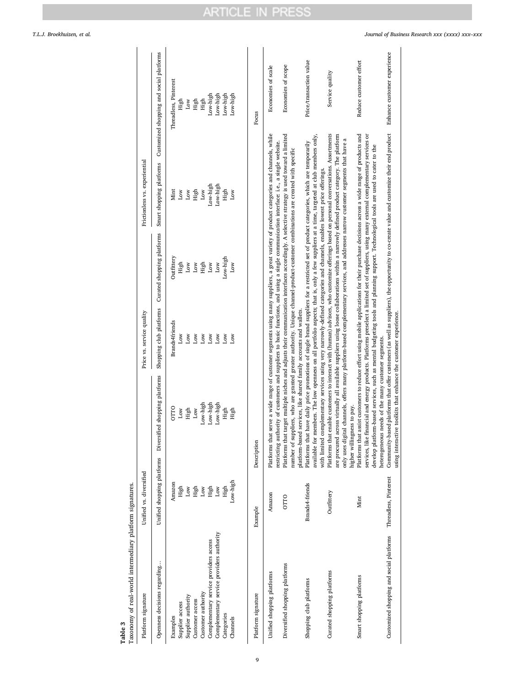<span id="page-8-0"></span>

| Taxonomy of real-world intermediary platform signatures.<br>Table 3 |                            |                                                                                                                                                                                                                                                                                                                                                                                                                                                                                                                                                       |                           |                            |                               |                                          |
|---------------------------------------------------------------------|----------------------------|-------------------------------------------------------------------------------------------------------------------------------------------------------------------------------------------------------------------------------------------------------------------------------------------------------------------------------------------------------------------------------------------------------------------------------------------------------------------------------------------------------------------------------------------------------|---------------------------|----------------------------|-------------------------------|------------------------------------------|
| Platform signature                                                  | Unified vs. diversified    |                                                                                                                                                                                                                                                                                                                                                                                                                                                                                                                                                       | Price vs. service quality |                            | Frictionless vs. experiential |                                          |
| Openness decisions regarding                                        | Unified shopping platforms | ed shopping platforms<br>Diversifi                                                                                                                                                                                                                                                                                                                                                                                                                                                                                                                    | Shopping club platforms   | Curated shopping platforms | Smart shopping platforms      | Customized shopping and social platforms |
| Examples                                                            | Amazon                     | OTTO                                                                                                                                                                                                                                                                                                                                                                                                                                                                                                                                                  | Brands4friends            | Outfittery                 | Mint                          | Threadless, Pinterest                    |
| Supplier access                                                     | High                       | Low                                                                                                                                                                                                                                                                                                                                                                                                                                                                                                                                                   | Low                       | High                       | Low                           | High                                     |
| Supplier authority                                                  | Low                        | High                                                                                                                                                                                                                                                                                                                                                                                                                                                                                                                                                  | Low                       | Low                        | Low                           | $_{\rm Low}$                             |
| Customer access                                                     | High                       | Low                                                                                                                                                                                                                                                                                                                                                                                                                                                                                                                                                   | Low                       | Low                        | High                          | High                                     |
| Customer authority                                                  | Low                        | Low-high                                                                                                                                                                                                                                                                                                                                                                                                                                                                                                                                              | Low                       | High                       | Low                           | High                                     |
| Complementary service providers access                              | High                       | Low-high                                                                                                                                                                                                                                                                                                                                                                                                                                                                                                                                              | Low                       | Low                        | Low-high                      | Low-high                                 |
| Complementary service providers authority                           | Low                        | Low-high                                                                                                                                                                                                                                                                                                                                                                                                                                                                                                                                              | Low                       | Low                        | Low-high                      | Low-high                                 |
| Categories                                                          | High                       | High                                                                                                                                                                                                                                                                                                                                                                                                                                                                                                                                                  | Low                       | Low-high                   | High                          | Low-high                                 |
| Channels                                                            | Low-high                   | High                                                                                                                                                                                                                                                                                                                                                                                                                                                                                                                                                  | Low                       | Low                        | Low                           | Low-high                                 |
| Platform signature                                                  | Example                    | Description                                                                                                                                                                                                                                                                                                                                                                                                                                                                                                                                           |                           |                            |                               | Focus                                    |
| Unified shopping platforms                                          | Amazon                     | Platforms that serve a wide range of customer segments using many suppliers, a great variety of product categories and channels, while<br>restricting authority of customers and suppliers to basic functions, and using a single communication interface: i.e., a single website.                                                                                                                                                                                                                                                                    |                           |                            |                               | Economies of scale                       |
| Diversified shopping platforms                                      | OTTO                       | Platforms that target multiple niches and adjusts their communication interfaces accordingly. A selective strategy is used toward a limited<br>number of suppliers, who are granted greater authority. Unique channel-product-customer combinations are created with specific<br>platform-based services, like shared family accounts and wallets.                                                                                                                                                                                                    |                           |                            |                               | Economies of scope                       |
| Shopping club platforms                                             | Brands4-friends            | available for members. The low openness on all portfolio aspects; that is, only a few suppliers at a time, targeted at club members only,<br>Platforms that have daily price promotions of single brand suppliers for a restricted set of product categories, which are temporarily                                                                                                                                                                                                                                                                   |                           |                            |                               | Price/transaction value                  |
| Curated shopping platforms                                          | Outfittery                 | Platforms that enable customers to interact with (human) advisors, who customize offerings based on personal conversations. Assortments<br>are procured across virtually all available suppliers using loose collaborations within a narrowly defined product category. The platform<br>only uses digital channels, offers many platform-based complementary services, and addresses narrow customer segments that have a<br>with limited complementary services using very narrowly-defined categories and channels, enables lowest price offerings. |                           |                            |                               | Service quality                          |
| Smart shopping platforms                                            | Mint                       | Platforms that assist customers to reduce effort using mobile applications for their purchase decisions across a wide range of products and<br>services, like financial and energy products. Platforms preselect a limited set of suppliers, using many external complementary services or<br>develop platform-based services, such as mental budgeting tools and planning support. Technological tools are used to cater to the<br>ess to pay.<br>higher willingne                                                                                   |                           |                            |                               | Reduce customer effort                   |
| Customized shopping and social platforms                            | Threadless, Pinterest      | Community-based platforms that offer customers (as well as suppliers), the opportunity to co-create value and customize their end product<br>using interactive toolkits that enhance the customer experience.<br>heterogeneous needs of the many customer segments.                                                                                                                                                                                                                                                                                   |                           |                            |                               | Enhance customer experience              |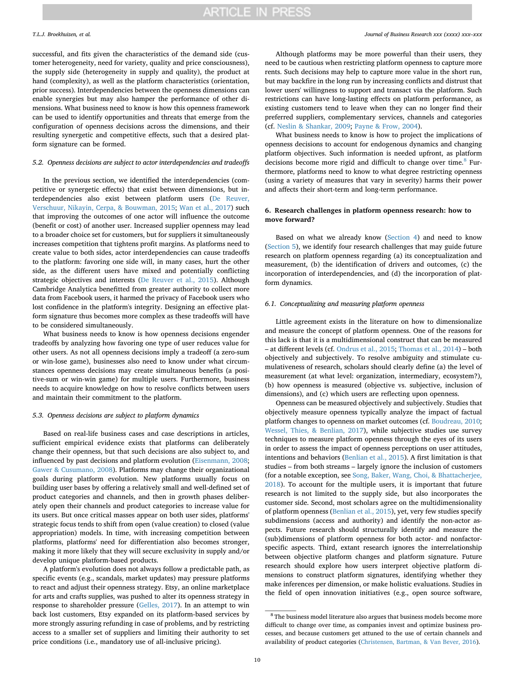successful, and fits given the characteristics of the demand side (customer heterogeneity, need for variety, quality and price consciousness), the supply side (heterogeneity in supply and quality), the product at hand (complexity), as well as the platform characteristics (orientation, prior success). Interdependencies between the openness dimensions can enable synergies but may also hamper the performance of other dimensions. What business need to know is how this openness framework can be used to identify opportunities and threats that emerge from the configuration of openness decisions across the dimensions, and their resulting synergetic and competitive effects, such that a desired platform signature can be formed.

#### *5.2. Openness decisions are subject to actor interdependencies and tradeoffs*

In the previous section, we identified the interdependencies (competitive or synergetic effects) that exist between dimensions, but interdependencies also exist between platform users ([De Reuver,](#page-11-68) [Verschuur, Nikayin, Cerpa, & Bouwman, 2015;](#page-11-68) [Wan et al., 2017\)](#page-12-13) such that improving the outcomes of one actor will influence the outcome (benefit or cost) of another user. Increased supplier openness may lead to a broader choice set for customers, but for suppliers it simultaneously increases competition that tightens profit margins. As platforms need to create value to both sides, actor interdependencies can cause tradeoffs to the platform: favoring one side will, in many cases, hurt the other side, as the different users have mixed and potentially conflicting strategic objectives and interests ([De Reuver et al., 2015](#page-11-68)). Although Cambridge Analytica benefitted from greater authority to collect more data from Facebook users, it harmed the privacy of Facebook users who lost confidence in the platform's integrity. Designing an effective platform signature thus becomes more complex as these tradeoffs will have to be considered simultaneously.

What business needs to know is how openness decisions engender tradeoffs by analyzing how favoring one type of user reduces value for other users. As not all openness decisions imply a tradeoff (a zero-sum or win-lose game), businesses also need to know under what circumstances openness decisions may create simultaneous benefits (a positive-sum or win-win game) for multiple users. Furthermore, business needs to acquire knowledge on how to resolve conflicts between users and maintain their commitment to the platform.

#### *5.3. Openness decisions are subject to platform dynamics*

Based on real-life business cases and case descriptions in articles, sufficient empirical evidence exists that platforms can deliberately change their openness, but that such decisions are also subject to, and influenced by past decisions and platform evolution [\(Eisenmann, 2008](#page-11-19); [Gawer & Cusumano, 2008](#page-11-9)). Platforms may change their organizational goals during platform evolution. New platforms usually focus on building user bases by offering a relatively small and well-defined set of product categories and channels, and then in growth phases deliberately open their channels and product categories to increase value for its users. But once critical masses appear on both user sides, platforms' strategic focus tends to shift from open (value creation) to closed (value appropriation) models. In time, with increasing competition between platforms, platforms' need for differentiation also becomes stronger, making it more likely that they will secure exclusivity in supply and/or develop unique platform-based products.

A platform's evolution does not always follow a predictable path, as specific events (e.g., scandals, market updates) may pressure platforms to react and adjust their openness strategy. Etsy, an online marketplace for arts and crafts supplies, was pushed to alter its openness strategy in response to shareholder pressure [\(Gelles, 2017](#page-11-69)). In an attempt to win back lost customers, Etsy expanded on its platform-based services by more strongly assuring refunding in case of problems, and by restricting access to a smaller set of suppliers and limiting their authority to set price conditions (i.e., mandatory use of all-inclusive pricing).

Although platforms may be more powerful than their users, they need to be cautious when restricting platform openness to capture more rents. Such decisions may help to capture more value in the short run, but may backfire in the long run by increasing conflicts and distrust that lower users' willingness to support and transact via the platform. Such restrictions can have long-lasting effects on platform performance, as existing customers tend to leave when they can no longer find their preferred suppliers, complementary services, channels and categories (cf. [Neslin & Shankar, 2009](#page-12-26); [Payne & Frow, 2004](#page-12-27)).

What business needs to know is how to project the implications of openness decisions to account for endogenous dynamics and changing platform objectives. Such information is needed upfront, as platform decisions become more rigid and difficult to change over time.<sup>8</sup> Furthermore, platforms need to know to what degree restricting openness (using a variety of measures that vary in severity) harms their power and affects their short-term and long-term performance.

### <span id="page-9-0"></span>**6. Research challenges in platform openness research: how to move forward?**

Based on what we already know [\(Section 4\)](#page-5-0) and need to know ([Section 5](#page-7-0)), we identify four research challenges that may guide future research on platform openness regarding (a) its conceptualization and measurement, (b) the identification of drivers and outcomes, (c) the incorporation of interdependencies, and (d) the incorporation of platform dynamics.

#### *6.1. Conceptualizing and measuring platform openness*

Little agreement exists in the literature on how to dimensionalize and measure the concept of platform openness. One of the reasons for this lack is that it is a multidimensional construct that can be measured – at different levels (cf. [Ondrus et al., 2015;](#page-12-3) [Thomas et al., 2014](#page-12-1)) – both objectively and subjectively. To resolve ambiguity and stimulate cumulativeness of research, scholars should clearly define (a) the level of measurement (at what level: organization, intermediary, ecosystem?), (b) how openness is measured (objective vs. subjective, inclusion of dimensions), and (c) which users are reflecting upon openness.

Openness can be measured objectively and subjectively. Studies that objectively measure openness typically analyze the impact of factual platform changes to openness on market outcomes (cf. [Boudreau, 2010](#page-11-7); [Wessel, Thies, & Benlian, 2017\)](#page-12-17), while subjective studies use survey techniques to measure platform openness through the eyes of its users in order to assess the impact of openness perceptions on user attitudes, intentions and behaviors ([Benlian et al., 2015\)](#page-11-34). A first limitation is that studies – from both streams – largely ignore the inclusion of customers (for a notable exception, see [Song, Baker, Wang, Choi, & Bhattacherjee,](#page-12-28) [2018\)](#page-12-28). To account for the multiple users, it is important that future research is not limited to the supply side, but also incorporates the customer side. Second, most scholars agree on the multidimensionality of platform openness ([Benlian et al., 2015\)](#page-11-34), yet, very few studies specify subdimensions (access and authority) and identify the non-actor aspects. Future research should structurally identify and measure the (sub)dimensions of platform openness for both actor- and nonfactorspecific aspects. Third, extant research ignores the interrelationship between objective platform changes and platform signature. Future research should explore how users interpret objective platform dimensions to construct platform signatures, identifying whether they make inferences per dimension, or make holistic evaluations. Studies in the field of open innovation initiatives (e.g., open source software,

<span id="page-9-1"></span> $^8$  The business model literature also argues that business models become more difficult to change over time, as companies invest and optimize business processes, and because customers get attuned to the use of certain channels and availability of product categories [\(Christensen, Bartman, & Van Bever, 2016\)](#page-11-70).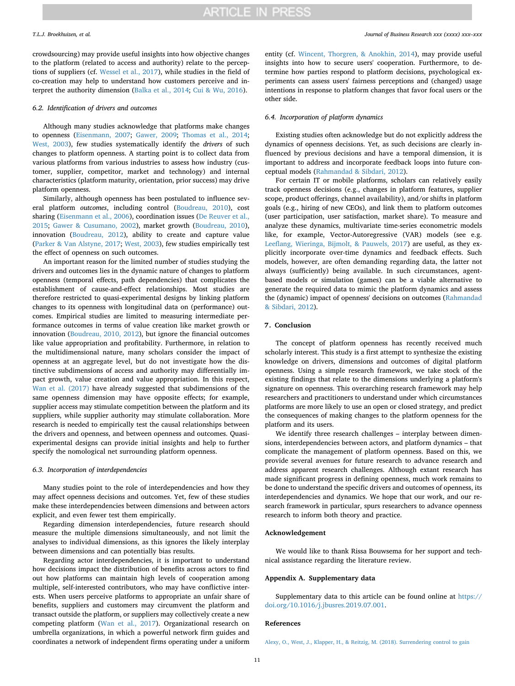crowdsourcing) may provide useful insights into how objective changes to the platform (related to access and authority) relate to the perceptions of suppliers (cf. [Wessel et al., 2017\)](#page-12-17), while studies in the field of co-creation may help to understand how customers perceive and interpret the authority dimension ([Balka et al., 2014;](#page-11-13) [Cui & Wu, 2016](#page-11-14)).

#### *6.2. Identification of drivers and outcomes*

Although many studies acknowledge that platforms make changes to openness ([Eisenmann, 2007;](#page-11-35) [Gawer, 2009](#page-11-36); [Thomas et al., 2014](#page-12-1); [West, 2003](#page-12-16)), few studies systematically identify the *drivers* of such changes to platform openness. A starting point is to collect data from various platforms from various industries to assess how industry (customer, supplier, competitor, market and technology) and internal characteristics (platform maturity, orientation, prior success) may drive platform openness.

Similarly, although openness has been postulated to influence several platform *outcomes*, including control [\(Boudreau, 2010\)](#page-11-7), cost sharing ([Eisenmann et al., 2006\)](#page-11-1), coordination issues [\(De Reuver et al.,](#page-11-68) [2015;](#page-11-68) [Gawer & Cusumano, 2002](#page-11-29)), market growth ([Boudreau, 2010](#page-11-7)), innovation ([Boudreau, 2012\)](#page-11-26), ability to create and capture value ([Parker & Van Alstyne, 2017](#page-12-0); [West, 2003](#page-12-16)), few studies empirically test the effect of openness on such outcomes.

An important reason for the limited number of studies studying the drivers and outcomes lies in the dynamic nature of changes to platform openness (temporal effects, path dependencies) that complicates the establishment of cause-and-effect relationships. Most studies are therefore restricted to quasi-experimental designs by linking platform changes to its openness with longitudinal data on (performance) outcomes. Empirical studies are limited to measuring intermediate performance outcomes in terms of value creation like market growth or innovation [\(Boudreau, 2010, 2012\)](#page-11-7), but ignore the financial outcomes like value appropriation and profitability. Furthermore, in relation to the multidimensional nature, many scholars consider the impact of openness at an aggregate level, but do not investigate how the distinctive subdimensions of access and authority may differentially impact growth, value creation and value appropriation. In this respect, [Wan et al. \(2017\)](#page-12-13) have already suggested that subdimensions of the same openness dimension may have opposite effects; for example, supplier access may stimulate competition between the platform and its suppliers, while supplier authority may stimulate collaboration. More research is needed to empirically test the causal relationships between the drivers and openness, and between openness and outcomes. Quasiexperimental designs can provide initial insights and help to further specify the nomological net surrounding platform openness.

#### *6.3. Incorporation of interdependencies*

Many studies point to the role of interdependencies and how they may affect openness decisions and outcomes. Yet, few of these studies make these interdependencies between dimensions and between actors explicit, and even fewer test them empirically.

Regarding dimension interdependencies, future research should measure the multiple dimensions simultaneously, and not limit the analyses to individual dimensions, as this ignores the likely interplay between dimensions and can potentially bias results.

Regarding actor interdependencies, it is important to understand how decisions impact the distribution of benefits across actors to find out how platforms can maintain high levels of cooperation among multiple, self-interested contributors, who may have conflictive interests. When users perceive platforms to appropriate an unfair share of benefits, suppliers and customers may circumvent the platform and transact outside the platform, or suppliers may collectively create a new competing platform [\(Wan et al., 2017](#page-12-13)). Organizational research on umbrella organizations, in which a powerful network firm guides and coordinates a network of independent firms operating under a uniform

entity (cf. [Wincent, Thorgren, & Anokhin, 2014\)](#page-12-29), may provide useful insights into how to secure users' cooperation. Furthermore, to determine how parties respond to platform decisions, psychological experiments can assess users' fairness perceptions and (changed) usage intentions in response to platform changes that favor focal users or the other side.

#### *6.4. Incorporation of platform dynamics*

Existing studies often acknowledge but do not explicitly address the dynamics of openness decisions. Yet, as such decisions are clearly influenced by previous decisions and have a temporal dimension, it is important to address and incorporate feedback loops into future conceptual models ([Rahmandad & Sibdari, 2012\)](#page-12-30).

For certain IT or mobile platforms, scholars can relatively easily track openness decisions (e.g., changes in platform features, supplier scope, product offerings, channel availability), and/or shifts in platform goals (e.g., hiring of new CEOs), and link them to platform outcomes (user participation, user satisfaction, market share). To measure and analyze these dynamics, multivariate time-series econometric models like, for example, Vector-Autoregressive (VAR) models (see e.g. [Leeflang, Wieringa, Bijmolt, & Pauwels, 2017](#page-11-71)) are useful, as they explicitly incorporate over-time dynamics and feedback effects. Such models, however, are often demanding regarding data, the latter not always (sufficiently) being available. In such circumstances, agentbased models or simulation (games) can be a viable alternative to generate the required data to mimic the platform dynamics and assess the (dynamic) impact of openness' decisions on outcomes [\(Rahmandad](#page-12-30) [& Sibdari, 2012\)](#page-12-30).

### <span id="page-10-0"></span>**7. Conclusion**

The concept of platform openness has recently received much scholarly interest. This study is a first attempt to synthesize the existing knowledge on drivers, dimensions and outcomes of digital platform openness. Using a simple research framework, we take stock of the existing findings that relate to the dimensions underlying a platform's signature on openness. This overarching research framework may help researchers and practitioners to understand under which circumstances platforms are more likely to use an open or closed strategy, and predict the consequences of making changes to the platform openness for the platform and its users.

We identify three research challenges – interplay between dimensions, interdependencies between actors, and platform dynamics – that complicate the management of platform openness. Based on this, we provide several avenues for future research to advance research and address apparent research challenges. Although extant research has made significant progress in defining openness, much work remains to be done to understand the specific drivers and outcomes of openness, its interdependencies and dynamics. We hope that our work, and our research framework in particular, spurs researchers to advance openness research to inform both theory and practice.

#### **Acknowledgement**

We would like to thank Rissa Bouwsema for her support and technical assistance regarding the literature review.

#### **Appendix A. Supplementary data**

Supplementary data to this article can be found online at [https://](https://doi.org/10.1016/j.jbusres.2019.07.001) [doi.org/10.1016/j.jbusres.2019.07.001.](https://doi.org/10.1016/j.jbusres.2019.07.001)

#### **References**

<span id="page-10-1"></span>[Alexy, O., West, J., Klapper, H., & Reitzig, M. \(2018\). Surrendering control to gain](http://refhub.elsevier.com/S0148-2963(19)30408-4/rf0005)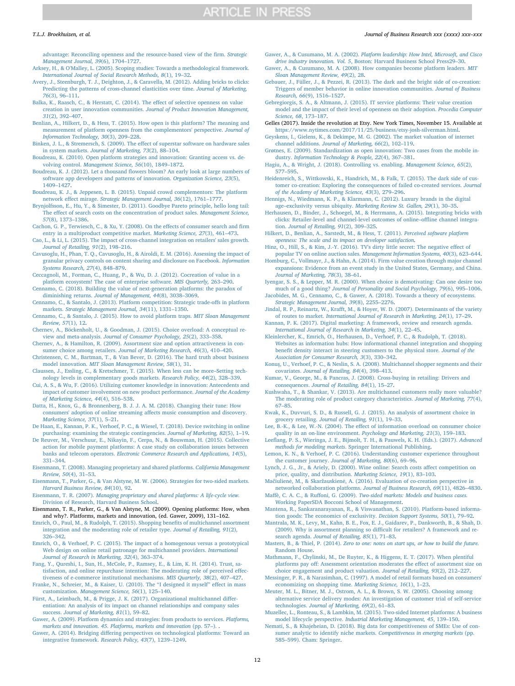[advantage: Reconciling openness and the resource-based view of the firm.](http://refhub.elsevier.com/S0148-2963(19)30408-4/rf0005) *Strategic [Management Journal, 39](http://refhub.elsevier.com/S0148-2963(19)30408-4/rf0005)*(6), 1704–1727.

- <span id="page-11-32"></span>[Arksey, H., & O'Malley, L. \(2005\). Scoping studies: Towards a methodological framework.](http://refhub.elsevier.com/S0148-2963(19)30408-4/rf0010) *[International Journal of Social Research Methods, 8](http://refhub.elsevier.com/S0148-2963(19)30408-4/rf0010)*(1), 19–32.
- <span id="page-11-58"></span>[Avery, J., Steenburgh, T. J., Deighton, J., & Caravella, M. \(2012\). Adding bricks to clicks:](http://refhub.elsevier.com/S0148-2963(19)30408-4/rf0020) [Predicting the patterns of cross-channel elasticities over time.](http://refhub.elsevier.com/S0148-2963(19)30408-4/rf0020) *Journal of Marketing, 76*[\(3\), 96–111](http://refhub.elsevier.com/S0148-2963(19)30408-4/rf0020).
- <span id="page-11-13"></span>[Balka, K., Raasch, C., & Herstatt, C. \(2014\). The effect of selective openness on value](http://refhub.elsevier.com/S0148-2963(19)30408-4/rf0025) creation in user innovation communities. *[Journal of Product Innovation Management,](http://refhub.elsevier.com/S0148-2963(19)30408-4/rf0025) 31*[\(2\), 392–407.](http://refhub.elsevier.com/S0148-2963(19)30408-4/rf0025)
- <span id="page-11-34"></span>[Benlian, A., Hilkert, D., & Hess, T. \(2015\). How open is this platform? The meaning and](http://refhub.elsevier.com/S0148-2963(19)30408-4/rf0030) [measurement of platform openness from the complementors' perspective.](http://refhub.elsevier.com/S0148-2963(19)30408-4/rf0030) *Journal of [Information Technology, 30](http://refhub.elsevier.com/S0148-2963(19)30408-4/rf0030)*(3), 209–228.
- <span id="page-11-4"></span>[Binken, J. L., & Stremersch, S. \(2009\). The effect of superstar software on hardware sales](http://refhub.elsevier.com/S0148-2963(19)30408-4/rf0035) in system markets. *[Journal of Marketing, 73](http://refhub.elsevier.com/S0148-2963(19)30408-4/rf0035)*(2), 88–104.
- <span id="page-11-7"></span>[Boudreau, K. \(2010\). Open platform strategies and innovation: Granting access vs. de](http://refhub.elsevier.com/S0148-2963(19)30408-4/rf0040)volving control. *[Management Science, 56](http://refhub.elsevier.com/S0148-2963(19)30408-4/rf0040)*(10), 1849–1872.
- <span id="page-11-26"></span>[Boudreau, K. J. \(2012\). Let a thousand flowers bloom? An early look at large numbers of](http://refhub.elsevier.com/S0148-2963(19)30408-4/rf0045) [software app developers and patterns of innovation.](http://refhub.elsevier.com/S0148-2963(19)30408-4/rf0045) *Organization Science, 23*(5), [1409–1427](http://refhub.elsevier.com/S0148-2963(19)30408-4/rf0045).
- <span id="page-11-27"></span>[Boudreau, K. J., & Jeppesen, L. B. \(2015\). Unpaid crowd complementors: The platform](http://refhub.elsevier.com/S0148-2963(19)30408-4/rf0050) network effect mirage. *[Strategic Management Journal, 36](http://refhub.elsevier.com/S0148-2963(19)30408-4/rf0050)*(12), 1761–1777.
- <span id="page-11-54"></span>[Brynjolfsson, E., Hu, Y., & Simester, D. \(2011\). Goodbye Pareto principle, hello long tail:](http://refhub.elsevier.com/S0148-2963(19)30408-4/rf0055) [The effect of search costs on the concentration of product sales.](http://refhub.elsevier.com/S0148-2963(19)30408-4/rf0055) *Management Science, 57*[\(8\), 1373–1386.](http://refhub.elsevier.com/S0148-2963(19)30408-4/rf0055)
- <span id="page-11-50"></span>[Cachon, G. P., Terwiesch, C., & Xu, Y. \(2008\). On the effects of consumer search and firm](http://refhub.elsevier.com/S0148-2963(19)30408-4/rf0060) [entry in a multiproduct competitive market.](http://refhub.elsevier.com/S0148-2963(19)30408-4/rf0060) *Marketing Science, 27*(3), 461–473.
- <span id="page-11-65"></span>[Cao, L., & Li, L. \(2015\). The impact of cross-channel integration on retailers' sales growth.](http://refhub.elsevier.com/S0148-2963(19)30408-4/rf0070) *[Journal of Retailing, 91](http://refhub.elsevier.com/S0148-2963(19)30408-4/rf0070)*(2), 198–216.
- <span id="page-11-43"></span>[Cavusoglu, H., Phan, T. Q., Cavusoglu, H., & Airoldi, E. M. \(2016\). Assessing the impact of](http://refhub.elsevier.com/S0148-2963(19)30408-4/rf0075) [granular privacy controls on content sharing and disclosure on Facebook.](http://refhub.elsevier.com/S0148-2963(19)30408-4/rf0075) *Information [Systems Research, 27](http://refhub.elsevier.com/S0148-2963(19)30408-4/rf0075)*(4), 848–879.
- <span id="page-11-28"></span>[Ceccagnoli, M., Forman, C., Huang, P., & Wu, D. J. \(2012\). Cocreation of value in a](http://refhub.elsevier.com/S0148-2963(19)30408-4/rf0080) [platform ecosystem! The case of enterprise software.](http://refhub.elsevier.com/S0148-2963(19)30408-4/rf0080) *MIS Quarterly,* 263–290.
- <span id="page-11-8"></span>[Cennamo, C. \(2018\). Building the value of next-generation platforms: the paradox of](http://refhub.elsevier.com/S0148-2963(19)30408-4/rf0085) diminishing returns. *[Journal of Management, 44](http://refhub.elsevier.com/S0148-2963(19)30408-4/rf0085)*(8), 3038–3069.

<span id="page-11-2"></span>[Cennamo, C., & Santalo, J. \(2013\). Platform competition: Strategic trade-offs in platform](http://refhub.elsevier.com/S0148-2963(19)30408-4/rf0090) markets. *[Strategic Management Journal, 34](http://refhub.elsevier.com/S0148-2963(19)30408-4/rf0090)*(11), 1331–1350.

- <span id="page-11-18"></span>[Cennamo, C., & Santalo, J. \(2015\). How to avoid platform traps.](http://refhub.elsevier.com/S0148-2963(19)30408-4/rf0095) *MIT Sloan Management [Review, 57](http://refhub.elsevier.com/S0148-2963(19)30408-4/rf0095)*(1), 12.
- <span id="page-11-49"></span>[Chernev, A., Böckenholt, U., & Goodman, J. \(2015\). Choice overload: A conceptual re](http://refhub.elsevier.com/S0148-2963(19)30408-4/rf0100)view and meta-analysis. *[Journal of Consumer Psychology, 25](http://refhub.elsevier.com/S0148-2963(19)30408-4/rf0100)*(2), 333–358.
- <span id="page-11-56"></span>[Chernev, A., & Hamilton, R. \(2009\). Assortment size and option attractiveness in con](http://refhub.elsevier.com/S0148-2963(19)30408-4/rf0105)sumer choice among retailers. *[Journal of Marketing Research, 46](http://refhub.elsevier.com/S0148-2963(19)30408-4/rf0105)*(3), 410–420.
- <span id="page-11-70"></span>[Christensen, C. M., Bartman, T., & Van Bever, D. \(2016\). The hard truth about business](http://refhub.elsevier.com/S0148-2963(19)30408-4/rf0110) model innovation. *[MIT Sloan Management Review, 58](http://refhub.elsevier.com/S0148-2963(19)30408-4/rf0110)*(1), 31.
- <span id="page-11-5"></span>[Claussen, J., Essling, C., & Kretschmer, T. \(2015\). When less can be more–Setting tech](http://refhub.elsevier.com/S0148-2963(19)30408-4/rf0115)[nology levels in complementary goods markets.](http://refhub.elsevier.com/S0148-2963(19)30408-4/rf0115) *Research Policy, 44*(2), 328–339.
- <span id="page-11-14"></span>[Cui, A. S., & Wu, F. \(2016\). Utilizing customer knowledge in innovation: Antecedents and](http://refhub.elsevier.com/S0148-2963(19)30408-4/rf0125) [impact of customer involvement on new product performance.](http://refhub.elsevier.com/S0148-2963(19)30408-4/rf0125) *Journal of the Academy [of Marketing Science, 44](http://refhub.elsevier.com/S0148-2963(19)30408-4/rf0125)*(4), 516–538.
- <span id="page-11-51"></span>[Datta, H., Knox, G., & Bronnenberg, B. J. J. A. M. \(2018\). Changing their tune: How](http://refhub.elsevier.com/S0148-2963(19)30408-4/rf0130) [consumers' adoption of online streaming affects music consumption and discovery.](http://refhub.elsevier.com/S0148-2963(19)30408-4/rf0130) *[Marketing Science, 37](http://refhub.elsevier.com/S0148-2963(19)30408-4/rf0130)*(1), 5–21.
- <span id="page-11-23"></span>[De Haan, E., Kannan, P. K., Verhoef, P. C., & Wiesel, T. \(2018\). Device switching in online](http://refhub.elsevier.com/S0148-2963(19)30408-4/rf0135) [purchasing: examining the strategic contingencies.](http://refhub.elsevier.com/S0148-2963(19)30408-4/rf0135) *Journal of Marketing, 82*(5), 1–19.
- <span id="page-11-68"></span>[De Reuver, M., Verschuur, E., Nikayin, F., Cerpa, N., & Bouwman, H. \(2015\). Collective](http://refhub.elsevier.com/S0148-2963(19)30408-4/rf0140) [action for mobile payment platforms: A case study on collaboration issues between](http://refhub.elsevier.com/S0148-2963(19)30408-4/rf0140) banks and telecom operators. *[Electronic Commerce Research and Applications, 14](http://refhub.elsevier.com/S0148-2963(19)30408-4/rf0140)*(5), [331–344](http://refhub.elsevier.com/S0148-2963(19)30408-4/rf0140).
- <span id="page-11-19"></span>[Eisenmann, T. \(2008\). Managing proprietary and shared platforms.](http://refhub.elsevier.com/S0148-2963(19)30408-4/rf0150) *California Management Review, 50*[\(4\), 31–53](http://refhub.elsevier.com/S0148-2963(19)30408-4/rf0150).
- <span id="page-11-1"></span>[Eisenmann, T., Parker, G., & Van Alstyne, M. W. \(2006\). Strategies for two-sided markets.](http://refhub.elsevier.com/S0148-2963(19)30408-4/rf0155) *[Harvard Business Review, 84](http://refhub.elsevier.com/S0148-2963(19)30408-4/rf0155)*(10), 92.
- <span id="page-11-35"></span>Eisenmann, T. R. (2007). *[Managing proprietary and shared platforms: A life-cycle view.](http://refhub.elsevier.com/S0148-2963(19)30408-4/rf0160)* [Division of Research, Harvard Business School.](http://refhub.elsevier.com/S0148-2963(19)30408-4/rf0160)
- <span id="page-11-10"></span>Eisenmann, T. R., Parker, G., & Van Alstyne, M. (2009). Opening platforms: How, when and why?. Platforms, markets and innovation, (ed. Gawer, 2009), 131–162.
- <span id="page-11-21"></span>[Emrich, O., Paul, M., & Rudolph, T. \(2015\). Shopping benefits of multichannel assortment](http://refhub.elsevier.com/S0148-2963(19)30408-4/rf0165) [integration and the moderating role of retailer type.](http://refhub.elsevier.com/S0148-2963(19)30408-4/rf0165) *Journal of Retailing, 91*(2), [326–342](http://refhub.elsevier.com/S0148-2963(19)30408-4/rf0165).
- <span id="page-11-60"></span>[Emrich, O., & Verhoef, P. C. \(2015\). The impact of a homogenous versus a prototypical](http://refhub.elsevier.com/S0148-2963(19)30408-4/rf0170) [Web design on online retail patronage for multichannel providers.](http://refhub.elsevier.com/S0148-2963(19)30408-4/rf0170) *International [Journal of Research in Marketing, 32](http://refhub.elsevier.com/S0148-2963(19)30408-4/rf0170)*(4), 363–374.
- <span id="page-11-44"></span>[Fang, Y., Qureshi, I., Sun, H., McCole, P., Ramsey, E., & Lim, K. H. \(2014\). Trust, sa](http://refhub.elsevier.com/S0148-2963(19)30408-4/rf0175)[tisfaction, and online repurchase intention: The moderating role of perceived effec](http://refhub.elsevier.com/S0148-2963(19)30408-4/rf0175)[tiveness of e-commerce institutional mechanisms.](http://refhub.elsevier.com/S0148-2963(19)30408-4/rf0175) *MIS Quarterly, 38*(2), 407–427.
- <span id="page-11-25"></span>[Franke, N., Schreier, M., & Kaiser, U. \(2010\). The "I designed it myself" effect in mass](http://refhub.elsevier.com/S0148-2963(19)30408-4/rf0180) customization. *[Management Science, 56](http://refhub.elsevier.com/S0148-2963(19)30408-4/rf0180)*(1), 125–140. [Fürst, A., Leimbach, M., & Prigge, J. K. \(2017\). Organizational multichannel differ-](http://refhub.elsevier.com/S0148-2963(19)30408-4/rf0185)
- <span id="page-11-59"></span>[entiation: An analysis of its impact on channel relationships and company sales](http://refhub.elsevier.com/S0148-2963(19)30408-4/rf0185) success. *[Journal of Marketing, 81](http://refhub.elsevier.com/S0148-2963(19)30408-4/rf0185)*(1), 59–82.

<span id="page-11-36"></span>[Gawer, A. \(2009\). Platform dynamics and strategies: from products to services.](http://refhub.elsevier.com/S0148-2963(19)30408-4/rf9015) *Platforms, markets and innovation*. *45*. *[Platforms, markets and innovation](http://refhub.elsevier.com/S0148-2963(19)30408-4/rf9015)* (pp. 57–). .

<span id="page-11-6"></span>[Gawer, A. \(2014\). Bridging differing perspectives on technological platforms: Toward an](http://refhub.elsevier.com/S0148-2963(19)30408-4/rf0190) [integrative framework.](http://refhub.elsevier.com/S0148-2963(19)30408-4/rf0190) *Research Policy, 43*(7), 1239–1249.

- <span id="page-11-29"></span>Gawer, A., & Cusumano, M. A. (2002). *[Platform leadership: How Intel, Microsoft, and Cisco](http://refhub.elsevier.com/S0148-2963(19)30408-4/rf0195) drive industry innovation. Vol. 5*[, Boston: Harvard Business School Press29–30](http://refhub.elsevier.com/S0148-2963(19)30408-4/rf0195).
- <span id="page-11-9"></span>[Gawer, A., & Cusumano, M. A. \(2008\). How companies become platform leaders.](http://refhub.elsevier.com/S0148-2963(19)30408-4/rf0200) *MIT [Sloan Management Review, 49](http://refhub.elsevier.com/S0148-2963(19)30408-4/rf0200)*(2), 28.
- <span id="page-11-39"></span>[Gebauer, J., Füller, J., & Pezzei, R. \(2013\). The dark and the bright side of co-creation:](http://refhub.elsevier.com/S0148-2963(19)30408-4/rf0205) [Triggers of member behavior in online innovation communities.](http://refhub.elsevier.com/S0148-2963(19)30408-4/rf0205) *Journal of Business Research, 66*[\(9\), 1516–1527.](http://refhub.elsevier.com/S0148-2963(19)30408-4/rf0205)
- <span id="page-11-16"></span>[Gebregiorgis, S. A., & Altmann, J. \(2015\). IT service platforms: Their value creation](http://refhub.elsevier.com/S0148-2963(19)30408-4/rf0210) [model and the impact of their level of openness on their adoption.](http://refhub.elsevier.com/S0148-2963(19)30408-4/rf0210) *Procedia Computer [Science, 68](http://refhub.elsevier.com/S0148-2963(19)30408-4/rf0210)*, 173–187.
- <span id="page-11-69"></span>Gelles (2017). Inside the revolution at Etsy. New York Times, November 15. Available at <https://www.nytimes.com/2017/11/25/business/etsy-josh-silverman.html>.
- <span id="page-11-63"></span>[Geyskens, I., Gielens, K., & Dekimpe, M. G. \(2002\). The market valuation of internet](http://refhub.elsevier.com/S0148-2963(19)30408-4/rf0220) channel additions. *[Journal of Marketing, 66](http://refhub.elsevier.com/S0148-2963(19)30408-4/rf0220)*(2), 102–119.
- <span id="page-11-30"></span>[Grøtnes, E. \(2009\). Standardization as open innovation: Two cases from the mobile in](http://refhub.elsevier.com/S0148-2963(19)30408-4/rf0230)dustry. *[Information Technology & People, 22](http://refhub.elsevier.com/S0148-2963(19)30408-4/rf0230)*(4), 367–381.
- <span id="page-11-3"></span>[Hagiu, A., & Wright, J. \(2018\). Controlling vs. enabling.](http://refhub.elsevier.com/S0148-2963(19)30408-4/rf0240) *Management Science, 65*(2), [577–595](http://refhub.elsevier.com/S0148-2963(19)30408-4/rf0240).
- <span id="page-11-31"></span>[Heidenreich, S., Wittkowski, K., Handrich, M., & Falk, T. \(2015\). The dark side of cus](http://refhub.elsevier.com/S0148-2963(19)30408-4/rf0245)[tomer co-creation: Exploring the consequences of failed co-created services.](http://refhub.elsevier.com/S0148-2963(19)30408-4/rf0245) *Journal [of the Academy of Marketing Science, 43](http://refhub.elsevier.com/S0148-2963(19)30408-4/rf0245)*(3), 279–296.
- <span id="page-11-40"></span>[Hennigs, N., Wiedmann, K. P., & Klarmann, C. \(2012\). Luxury brands in the digital](http://refhub.elsevier.com/S0148-2963(19)30408-4/rf0250) [age–exclusivity versus ubiquity.](http://refhub.elsevier.com/S0148-2963(19)30408-4/rf0250) *Marketing Review St. Gallen, 29*(1), 30–35.
- <span id="page-11-24"></span>[Herhausen, D., Binder, J., Schoegel, M., & Herrmann, A. \(2015\). Integrating bricks with](http://refhub.elsevier.com/S0148-2963(19)30408-4/rf0255) [clicks: Retailer-level and channel-level outcomes of online–offline channel integra](http://refhub.elsevier.com/S0148-2963(19)30408-4/rf0255)tion. *[Journal of Retailing, 91](http://refhub.elsevier.com/S0148-2963(19)30408-4/rf0255)*(2), 309–325.
- <span id="page-11-33"></span>[Hilkert, D., Benlian, A., Sarstedt, M., & Hess, T. \(2011\).](http://refhub.elsevier.com/S0148-2963(19)30408-4/rf0260) *Perceived software platform [openness: The scale and its impact on developer satisfaction](http://refhub.elsevier.com/S0148-2963(19)30408-4/rf0260)*.
- <span id="page-11-55"></span>[Hinz, O., Hill, S., & Kim, J.-Y. \(2016\). TV's dirty little secret: The negative effect of](http://refhub.elsevier.com/S0148-2963(19)30408-4/rf0265) popular TV on online auction sales. *[Management Information Systems, 40](http://refhub.elsevier.com/S0148-2963(19)30408-4/rf0265)*(3), 623–644.
- <span id="page-11-62"></span>[Homburg, C., Vollmayr, J., & Hahn, A. \(2014\). Firm value creation through major channel](http://refhub.elsevier.com/S0148-2963(19)30408-4/rf0270) [expansions: Evidence from an event study in the United States, Germany, and China.](http://refhub.elsevier.com/S0148-2963(19)30408-4/rf0270) *[Journal of Marketing, 78](http://refhub.elsevier.com/S0148-2963(19)30408-4/rf0270)*(3), 38–61.
- <span id="page-11-47"></span>[Iyengar, S. S., & Lepper, M. R. \(2000\). When choice is demotivating: Can one desire too](http://refhub.elsevier.com/S0148-2963(19)30408-4/rf0280) much of a good thing? *[Journal of Personality and Social Psychology, 79](http://refhub.elsevier.com/S0148-2963(19)30408-4/rf0280)*(6), 995–1006. [Jacobides, M. G., Cennamo, C., & Gawer, A. \(2018\). Towards a theory of ecosystems.](http://refhub.elsevier.com/S0148-2963(19)30408-4/rf0285)
- <span id="page-11-61"></span><span id="page-11-20"></span>*[Strategic Management Journal, 39](http://refhub.elsevier.com/S0148-2963(19)30408-4/rf0285)*(8), 2255–2276. [Jindal, R. P., Reinartz, W., Krafft, M., & Hoyer, W. D. \(2007\). Determinants of the variety](http://refhub.elsevier.com/S0148-2963(19)30408-4/rf0290)
- <span id="page-11-15"></span>of routes to market. *[International Journal of Research in Marketing, 24](http://refhub.elsevier.com/S0148-2963(19)30408-4/rf0290)*(1), 17–29. [Kannan, P. K. \(2017\). Digital marketing: A framework, review and research agenda.](http://refhub.elsevier.com/S0148-2963(19)30408-4/rf0300)
- *[International Journal of Research in Marketing, 34](http://refhub.elsevier.com/S0148-2963(19)30408-4/rf0300)*(1), 22–45.
- <span id="page-11-22"></span>[Kleinlercher, K., Emrich, O., Herhausen, D., Verhoef, P. C., & Rudolph, T. \(2018\).](http://refhub.elsevier.com/S0148-2963(19)30408-4/rf0305) [Websites as information hubs: How informational channel integration and shopping](http://refhub.elsevier.com/S0148-2963(19)30408-4/rf0305) [benefit density interact in steering customers to the physical store.](http://refhub.elsevier.com/S0148-2963(19)30408-4/rf0305) *Journal of the [Association for Consumer Research, 3](http://refhub.elsevier.com/S0148-2963(19)30408-4/rf0305)*(3), 330–342.
- <span id="page-11-66"></span>[Konuş, U., Verhoef, P. C., & Neslin, S. A. \(2008\). Multichannel shopper segments and their](http://refhub.elsevier.com/S0148-2963(19)30408-4/rf0310) covariates. *[Journal of Retailing, 84](http://refhub.elsevier.com/S0148-2963(19)30408-4/rf0310)*(4), 398–413.

<span id="page-11-11"></span>[Kumar, V., George, M., & Pancras, J. \(2008\). Cross-buying in retailing: Drivers and](http://refhub.elsevier.com/S0148-2963(19)30408-4/rf0315) consequences. *[Journal of Retailing, 84](http://refhub.elsevier.com/S0148-2963(19)30408-4/rf0315)*(1), 15–27.

- <span id="page-11-64"></span>[Kushwaha, T., & Shankar, V. \(2013\). Are multichannel customers really more valuable?](http://refhub.elsevier.com/S0148-2963(19)30408-4/rf0320) [The moderating role of product category characteristics.](http://refhub.elsevier.com/S0148-2963(19)30408-4/rf0320) *Journal of Marketing, 77*(4), [67–85](http://refhub.elsevier.com/S0148-2963(19)30408-4/rf0320).
- <span id="page-11-57"></span>[Kwak, K., Duvvuri, S. D., & Russell, G. J. \(2015\). An analysis of assortment choice in](http://refhub.elsevier.com/S0148-2963(19)30408-4/rf9035) grocery retailing. *[Journal of Retailing, 91](http://refhub.elsevier.com/S0148-2963(19)30408-4/rf9035)*(1), 19–33.
- <span id="page-11-48"></span>[Lee, B.-K., & Lee, W.-N. \(2004\). The effect of information overload on consumer choice](http://refhub.elsevier.com/S0148-2963(19)30408-4/rf0325) [quality in an on-line environment.](http://refhub.elsevier.com/S0148-2963(19)30408-4/rf0325) *Psychology and Marketing, 21*(3), 159–183.
- <span id="page-11-71"></span>[Leeflang, P. S., Wieringa, J. E., Bijmolt, T. H., & Pauwels, K. H. \(Eds.\). \(2017\).](http://refhub.elsevier.com/S0148-2963(19)30408-4/rf0330) *Advanced methods for modeling markets*[. Springer International Publishing.](http://refhub.elsevier.com/S0148-2963(19)30408-4/rf0330)
- <span id="page-11-67"></span>[Lemon, K. N., & Verhoef, P. C. \(2016\). Understanding customer experience throughout](http://refhub.elsevier.com/S0148-2963(19)30408-4/rf0335) the customer journey. *[Journal of Marketing, 80](http://refhub.elsevier.com/S0148-2963(19)30408-4/rf0335)*(6), 69–96.
- <span id="page-11-53"></span>[Lynch, J. G., Jr., & Ariely, D. \(2000\). Wine online: Search costs affect competition on](http://refhub.elsevier.com/S0148-2963(19)30408-4/rf0340) [price, quality, and distribution.](http://refhub.elsevier.com/S0148-2963(19)30408-4/rf0340) *Marketing Science, 19*(1), 83–103.
- <span id="page-11-12"></span>[Mačiulienė, M., & Skaržauskienė, A. \(2016\). Evaluation of co-creation perspective in](http://refhub.elsevier.com/S0148-2963(19)30408-4/rf0345) [networked collaboration platforms.](http://refhub.elsevier.com/S0148-2963(19)30408-4/rf0345) *Journal of Business Research, 69*(11), 4826–4830.
- <span id="page-11-0"></span>Maffè, C. A. C., & Ruffoni, G. (2009). *[Two-sided markets: Models and business cases.](http://refhub.elsevier.com/S0148-2963(19)30408-4/rf0350)* [Working PaperSDA Bocconi School of Management.](http://refhub.elsevier.com/S0148-2963(19)30408-4/rf0350)
- <span id="page-11-37"></span>[Mantena, R., Sankaranarayanan, R., & Viswanathan, S. \(2010\). Platform-based informa](http://refhub.elsevier.com/S0148-2963(19)30408-4/rf0355)[tion goods: The economics of exclusivity.](http://refhub.elsevier.com/S0148-2963(19)30408-4/rf0355) *Decision Support Systems, 50*(1), 79–92.
- <span id="page-11-46"></span>[Mantrala, M. K., Levy, M., Kahn, B. E., Fox, E. J., Gaidarev, P., Dankworth, B., & Shah, D.](http://refhub.elsevier.com/S0148-2963(19)30408-4/rf0360) [\(2009\). Why is assortment planning so difficult for retailers? A framework and re](http://refhub.elsevier.com/S0148-2963(19)30408-4/rf0360)search agenda. *[Journal of Retailing, 85](http://refhub.elsevier.com/S0148-2963(19)30408-4/rf0360)*(1), 71–83.
- <span id="page-11-17"></span>Masters, B., & Thiel, P. (2014). *[Zero to one: notes on start ups, or how to build the future.](http://refhub.elsevier.com/S0148-2963(19)30408-4/rf0490)* [Random House.](http://refhub.elsevier.com/S0148-2963(19)30408-4/rf0490)
- <span id="page-11-45"></span>[Mathmann, F., Chylinski, M., De Ruyter, K., & Higgens, E. T. \(2017\). When plentiful](http://refhub.elsevier.com/S0148-2963(19)30408-4/rf0365) [platforms pay off: Assessment orientation moderates the effect of assortment size on](http://refhub.elsevier.com/S0148-2963(19)30408-4/rf0365) [choice engagement and product valuation.](http://refhub.elsevier.com/S0148-2963(19)30408-4/rf0365) *Journal of Retailing, 93*(2), 212–227.
- <span id="page-11-52"></span>[Messinger, P. R., & Narasimhan, C. \(1997\). A model of retail formats based on consumers'](http://refhub.elsevier.com/S0148-2963(19)30408-4/rf0370) [economizing on shopping time.](http://refhub.elsevier.com/S0148-2963(19)30408-4/rf0370) *Marketing Science, 16*(1), 1–23.
- <span id="page-11-42"></span>[Meuter, M. L., Bitner, M. J., Ostrom, A. L., & Brown, S. W. \(2005\). Choosing among](http://refhub.elsevier.com/S0148-2963(19)30408-4/rf0375) [alternative service delivery modes: An investigation of customer trial of self-service](http://refhub.elsevier.com/S0148-2963(19)30408-4/rf0375) technologies. *[Journal of Marketing, 69](http://refhub.elsevier.com/S0148-2963(19)30408-4/rf0375)*(2), 61–83.
- <span id="page-11-38"></span>[Muzellec, L., Ronteau, S., & Lambkin, M. \(2015\). Two-sided Internet platforms: A business](http://refhub.elsevier.com/S0148-2963(19)30408-4/rf0380) model lifecycle perspective. *[Industrial Marketing Management, 45](http://refhub.elsevier.com/S0148-2963(19)30408-4/rf0380)*, 139–150.
- <span id="page-11-41"></span>[Nemati, S., & Khajeheian, D. \(2018\). Big data for competitiveness of SMEs: Use of con](http://refhub.elsevier.com/S0148-2963(19)30408-4/rf0385)[sumer analytic to identify niche markets.](http://refhub.elsevier.com/S0148-2963(19)30408-4/rf0385) *Competitiveness in emerging markets* (pp. [585–599\). Cham: Springer.](http://refhub.elsevier.com/S0148-2963(19)30408-4/rf0385)

#### *T.L.J. Broekhuizen, et al. Journal of Business Research xxx (xxxx) xxx–xxx*